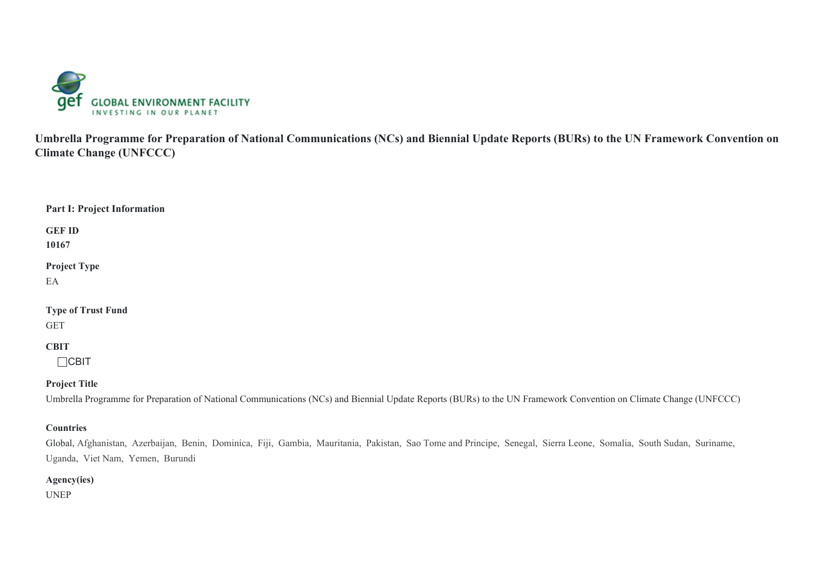

**Umbrella Programme for Preparation of National Communications (NCs) and Biennial Update Reports (BURs) to the UN Framework Convention on Climate Change (UNFCCC)**

## **Part I: Project Information**

**GEF ID**

**10167**

**Project Type**

EA

## **Type of Trust Fund**

GET

## **CBIT**

 $\Box$ CBIT

## **Project Title**

Umbrella Programme for Preparation of National Communications (NCs) and Biennial Update Reports (BURs) to the UN Framework Convention on Climate Change (UNFCCC)

## **Countries**

Global, Afghanistan, Azerbaijan, Benin, Dominica, Fiji, Gambia, Mauritania, Pakistan, Sao Tome and Principe, Senegal, Sierra Leone, Somalia, South Sudan, Suriname, Uganda, Viet Nam, Yemen, Burundi

## **Agency(ies)**

UNEP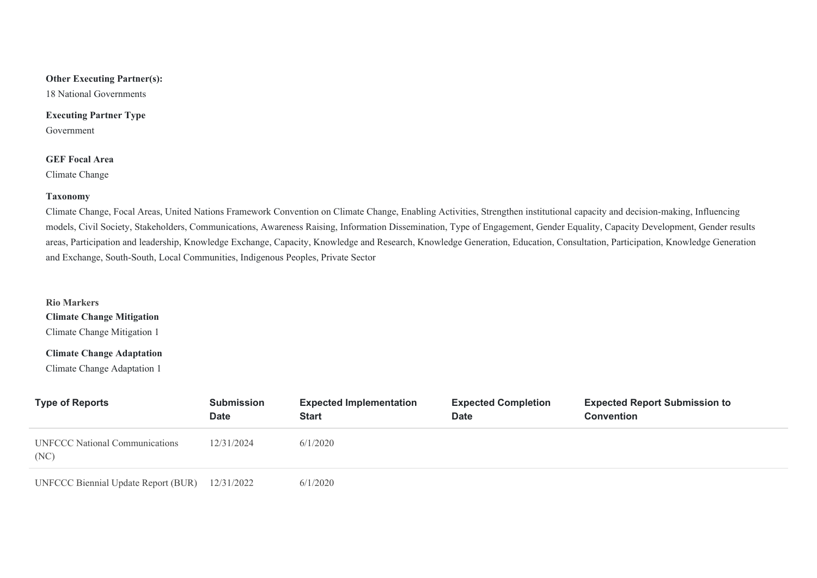## **Other Executing Partner(s):**

18 National Governments

## **Executing Partner Type**

Government

## **GEF Focal Area**

Climate Change

#### **Taxonomy**

Climate Change, Focal Areas, United Nations Framework Convention on Climate Change, Enabling Activities, Strengthen institutional capacity and decision-making, Influencing models, Civil Society, Stakeholders, Communications, Awareness Raising, Information Dissemination, Type of Engagement, Gender Equality, Capacity Development, Gender results areas, Participation and leadership, Knowledge Exchange, Capacity, Knowledge and Research, Knowledge Generation, Education, Consultation, Participation, Knowledge Generation and Exchange, South-South, Local Communities, Indigenous Peoples, Private Sector

#### **Rio Markers**

**Climate Change Mitigation**

Climate Change Mitigation 1

## **Climate Change Adaptation**

Climate Change Adaptation 1

| <b>Type of Reports</b>                        | <b>Submission</b><br><b>Date</b> | <b>Expected Implementation</b><br><b>Start</b> | <b>Expected Completion</b><br><b>Date</b> | <b>Expected Report Submission to</b><br><b>Convention</b> |
|-----------------------------------------------|----------------------------------|------------------------------------------------|-------------------------------------------|-----------------------------------------------------------|
| <b>UNFCCC National Communications</b><br>(NC) | 12/31/2024                       | 6/1/2020                                       |                                           |                                                           |
| <b>UNFCCC Biennial Update Report (BUR)</b>    | 12/31/2022                       | 6/1/2020                                       |                                           |                                                           |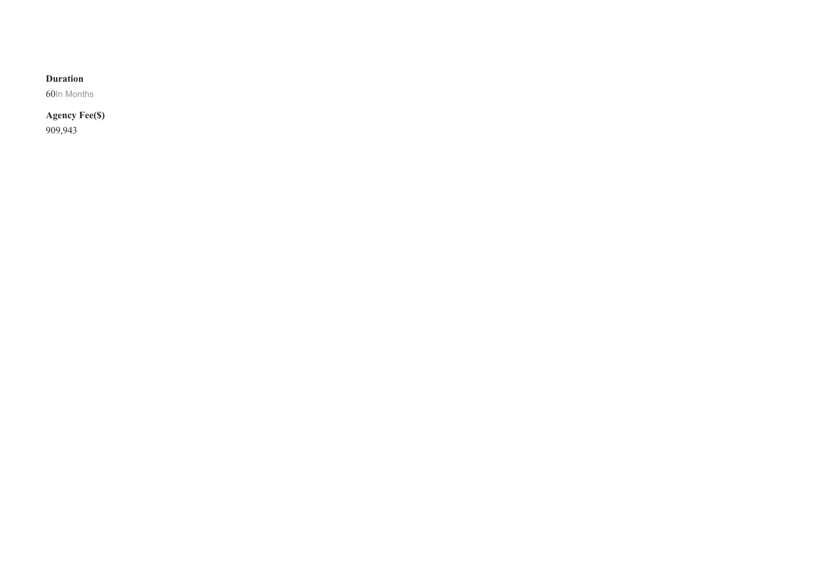## **Duration**

60In Months

## **Agency Fee(\$)** 909,943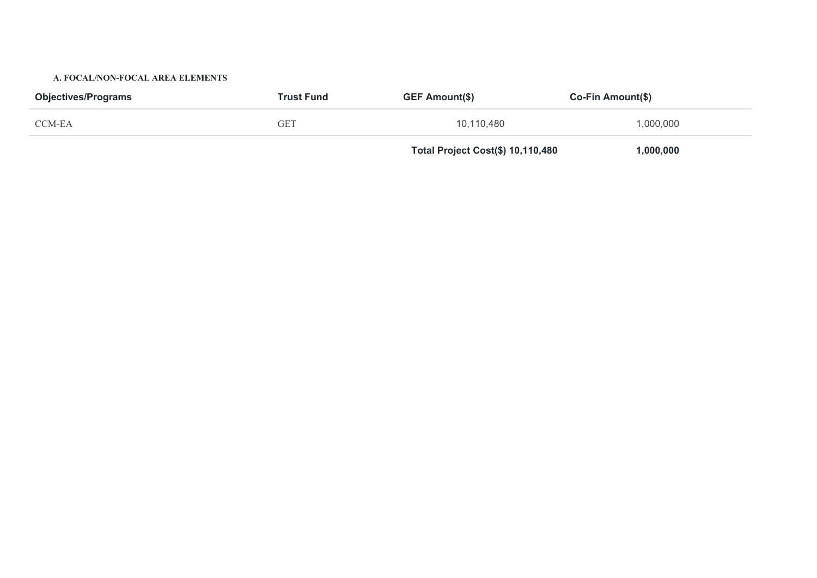#### **A. FOCAL/NON-FOCAL AREA ELEMENTS**

| <b>Objectives/Programs</b> | <b>Trust Fund</b> |                                   | Co-Fin Amount(\$) |  |  |
|----------------------------|-------------------|-----------------------------------|-------------------|--|--|
| CCM-EA                     | <b>GET</b>        | 10,110,480                        | 1,000,000         |  |  |
|                            |                   | Total Project Cost(\$) 10,110,480 | 1,000,000         |  |  |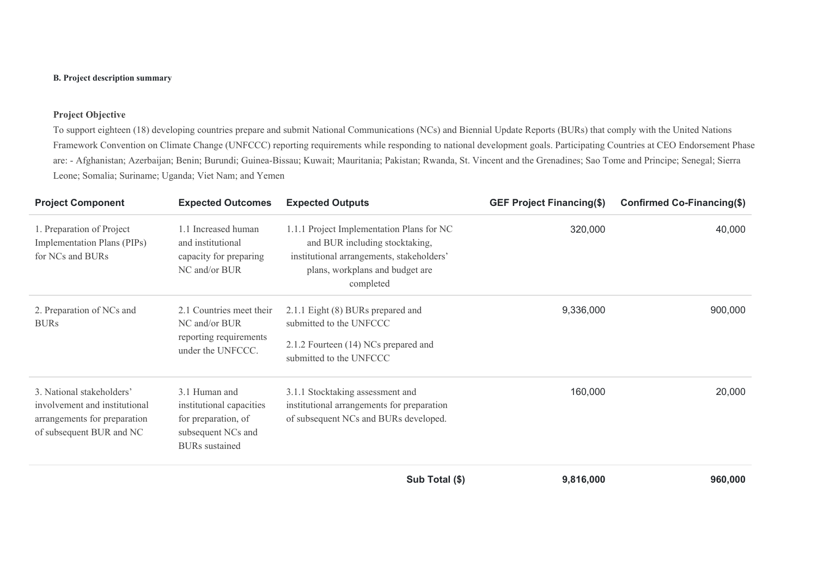## **B. Project description summary**

## **Project Objective**

To support eighteen (18) developing countries prepare and submit National Communications (NCs) and Biennial Update Reports (BURs) that comply with the United Nations Framework Convention on Climate Change (UNFCCC) reporting requirements while responding to national development goals. Participating Countries at CEO Endorsement Phase are: - Afghanistan; Azerbaijan; Benin; Burundi; Guinea-Bissau; Kuwait; Mauritania; Pakistan; Rwanda, St. Vincent and the Grenadines; Sao Tome and Principe; Senegal; Sierra Leone; Somalia; Suriname; Uganda; Viet Nam; and Yemen

| <b>Project Component</b>                                                                                               | <b>Expected Outcomes</b>                                                                                        | <b>Expected Outputs</b>                                                                                                                                                  | <b>GEF Project Financing(\$)</b> | Confirmed Co-Financing(\$) |
|------------------------------------------------------------------------------------------------------------------------|-----------------------------------------------------------------------------------------------------------------|--------------------------------------------------------------------------------------------------------------------------------------------------------------------------|----------------------------------|----------------------------|
| 1. Preparation of Project<br>Implementation Plans (PIPs)<br>for NCs and BURs                                           | 1.1 Increased human<br>and institutional<br>capacity for preparing<br>NC and/or BUR                             | 1.1.1 Project Implementation Plans for NC<br>and BUR including stocktaking,<br>institutional arrangements, stakeholders'<br>plans, workplans and budget are<br>completed | 320,000                          | 40,000                     |
| 2. Preparation of NCs and<br><b>BURs</b>                                                                               | 2.1 Countries meet their<br>NC and/or BUR<br>reporting requirements<br>under the UNFCCC.                        | 2.1.1 Eight (8) BURs prepared and<br>submitted to the UNFCCC<br>2.1.2 Fourteen (14) NCs prepared and<br>submitted to the UNFCCC                                          | 9,336,000                        | 900,000                    |
| 3. National stakeholders'<br>involvement and institutional<br>arrangements for preparation<br>of subsequent BUR and NC | 3.1 Human and<br>institutional capacities<br>for preparation, of<br>subsequent NCs and<br><b>BURs</b> sustained | 3.1.1 Stocktaking assessment and<br>institutional arrangements for preparation<br>of subsequent NCs and BURs developed.                                                  | 160,000                          | 20,000                     |
|                                                                                                                        |                                                                                                                 | Sub Total (\$)                                                                                                                                                           | 9,816,000                        | 960,000                    |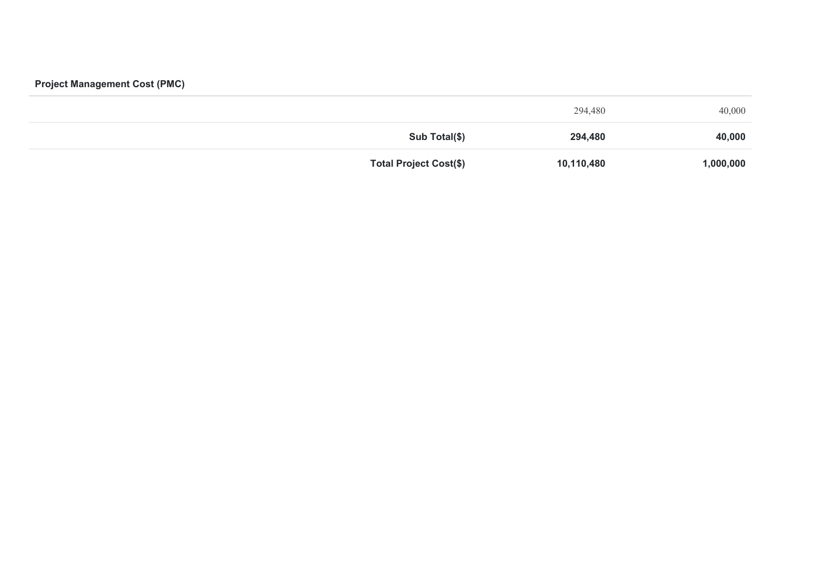## **Project Management Cost (PMC)**

| 40,000    | 294,480    |                               |
|-----------|------------|-------------------------------|
| 40,000    | 294,480    | Sub Total(\$)                 |
| 1,000,000 | 10,110,480 | <b>Total Project Cost(\$)</b> |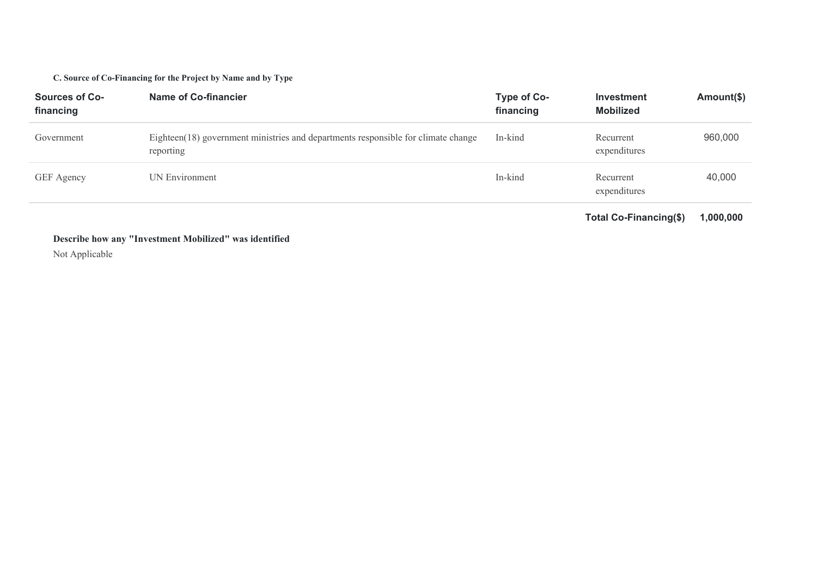## **C. Source of Co-Financing for the Project by Name and by Type**

| <b>Sources of Co-</b><br>financing | Name of Co-financier                                                                           | Type of Co-<br>financing | <b>Investment</b><br><b>Mobilized</b> | Amount(\$) |
|------------------------------------|------------------------------------------------------------------------------------------------|--------------------------|---------------------------------------|------------|
| Government                         | Eighteen(18) government ministries and departments responsible for climate change<br>reporting | In-kind                  | Recurrent<br>expenditures             | 960,000    |
| GEF Agency                         | UN Environment                                                                                 | In-kind                  | Recurrent<br>expenditures             | 40,000     |

**Total Co-Financing(\$) 1,000,000**

## **Describe how any "Investment Mobilized" was identified**

Not Applicable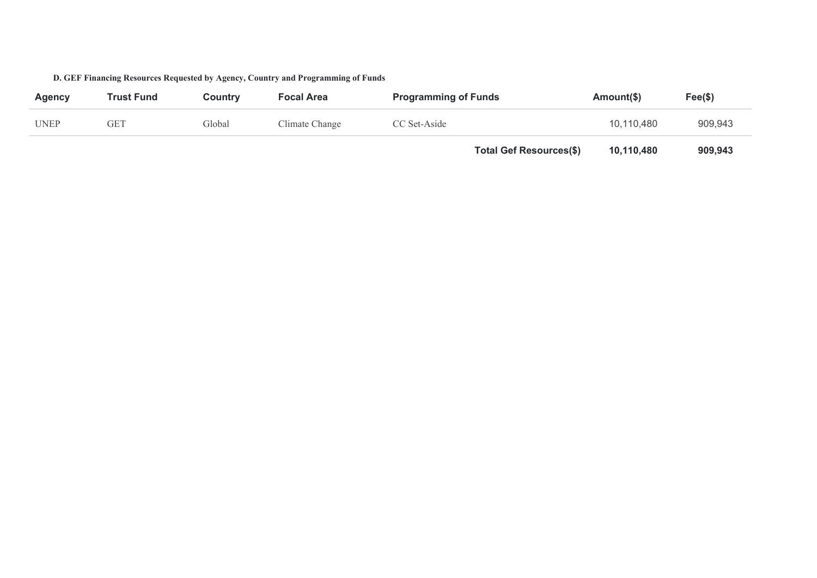| Agency      | <b>Trust Fund</b> | Country | <b>Focal Area</b> | <b>Programming of Funds</b> |                                | Amount(\$) | $Fee(\$)$ |
|-------------|-------------------|---------|-------------------|-----------------------------|--------------------------------|------------|-----------|
| <b>UNEP</b> | GET               | Global  | Climate Change    | CC Set-Aside                |                                | 10,110,480 | 909,943   |
|             |                   |         |                   |                             | <b>Total Gef Resources(\$)</b> | 10,110,480 | 909,943   |

## **D. GEF Financing Resources Requested by Agency, Country and Programming of Funds**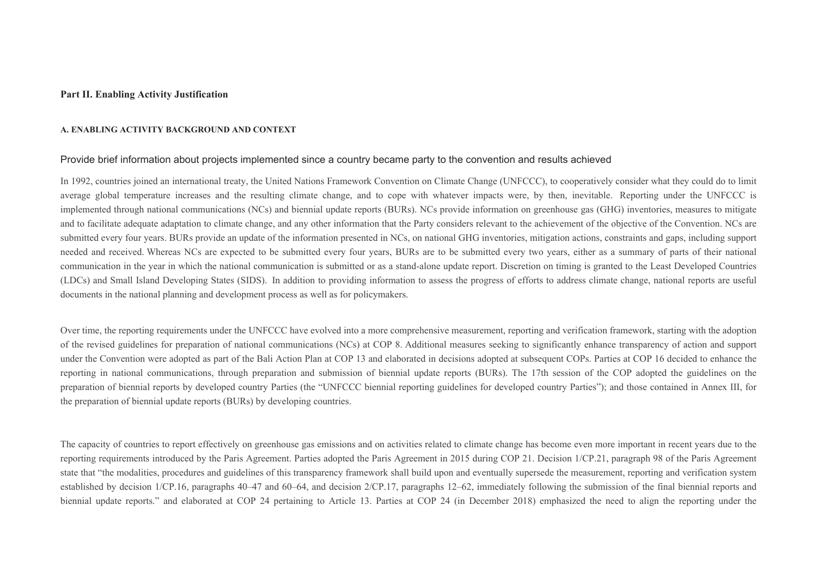#### **Part II. Enabling Activity Justification**

#### **A. ENABLING ACTIVITY BACKGROUND AND CONTEXT**

#### Provide brief information about projects implemented since a country became party to the convention and results achieved

In 1992, countries joined an international treaty, the United Nations Framework Convention on Climate Change (UNFCCC), to cooperatively consider what they could do to limit average global temperature increases and the resulting climate change, and to cope with whatever impacts were, by then, inevitable. Reporting under the UNFCCC is implemented through national communications (NCs) and biennial update reports (BURs). NCs provide information on greenhouse gas (GHG) inventories, measures to mitigate and to facilitate adequate adaptation to climate change, and any other information that the Party considers relevant to the achievement of the objective of the Convention. NCs are submitted every four years. BURs provide an update of the information presented in NCs, on national GHG inventories, mitigation actions, constraints and gaps, including support needed and received. Whereas NCs are expected to be submitted every four years, BURs are to be submitted every two years, either as a summary of parts of their national communication in the year in which the national communication is submitted or as a stand-alone update report. Discretion on timing is granted to the Least Developed Countries (LDCs) and Small Island Developing States (SIDS). In addition to providing information to assess the progress of efforts to address climate change, national reports are useful documents in the national planning and development process as well as for policymakers.

Over time, the reporting requirements under the UNFCCC have evolved into a more comprehensive measurement, reporting and verification framework, starting with the adoption of the revised guidelines for preparation of national communications (NCs) at COP 8. Additional measures seeking to significantly enhance transparency of action and support under the Convention were adopted as part of the Bali Action Plan at COP 13 and elaborated in decisions adopted at subsequent COPs. Parties at COP 16 decided to enhance the reporting in national communications, through preparation and submission of biennial update reports (BURs). The 17th session of the COP adopted the guidelines on the preparation of biennial reports by developed country Parties (the "UNFCCC biennial reporting guidelines for developed country Parties"); and those contained in Annex III, for the preparation of biennial update reports (BURs) by developing countries.

The capacity of countries to report effectively on greenhouse gas emissions and on activities related to climate change has become even more important in recent years due to the reporting requirements introduced by the Paris Agreement. Parties adopted the Paris Agreement in 2015 during COP 21. Decision 1/CP.21, paragraph 98 of the Paris Agreement state that "the modalities, procedures and guidelines of this transparency framework shall build upon and eventually supersede the measurement, reporting and verification system established by decision 1/CP.16, paragraphs 40–47 and 60–64, and decision 2/CP.17, paragraphs 12–62, immediately following the submission of the final biennial reports and biennial update reports." and elaborated at COP 24 pertaining to Article 13. Parties at COP 24 (in December 2018) emphasized the need to align the reporting under the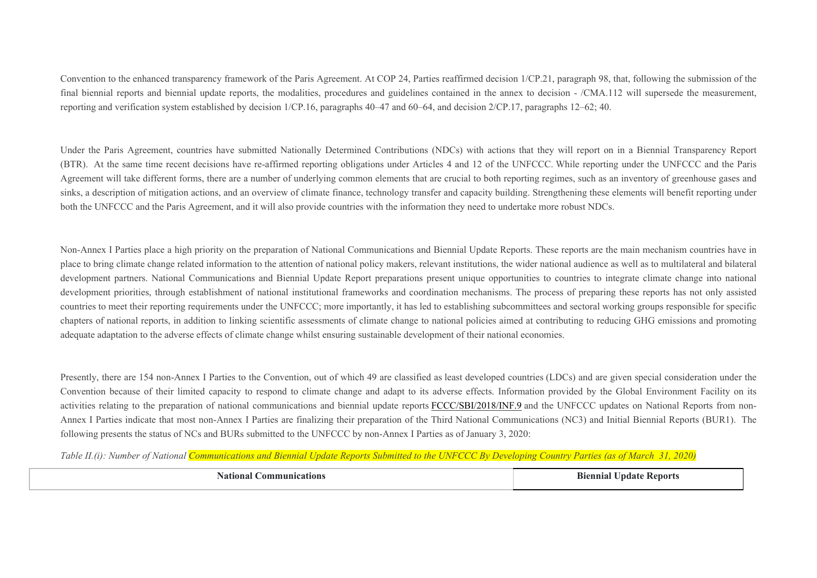Convention to the enhanced transparency framework of the Paris Agreement. At COP 24, Parties reaffirmed decision 1/CP.21, paragraph 98, that, following the submission of the final biennial reports and biennial update reports, the modalities, procedures and guidelines contained in the annex to decision - /CMA.112 will supersede the measurement, reporting and verification system established by decision 1/CP.16, paragraphs 40–47 and 60–64, and decision 2/CP.17, paragraphs 12–62; 40.

Under the Paris Agreement, countries have submitted Nationally Determined Contributions (NDCs) with actions that they will report on in a Biennial Transparency Report (BTR). At the same time recent decisions have re-affirmed reporting obligations under Articles 4 and 12 of the UNFCCC. While reporting under the UNFCCC and the Paris Agreement will take different forms, there are a number of underlying common elements that are crucial to both reporting regimes, such as an inventory of greenhouse gases and sinks, a description of mitigation actions, and an overview of climate finance, technology transfer and capacity building. Strengthening these elements will benefit reporting under both the UNFCCC and the Paris Agreement, and it will also provide countries with the information they need to undertake more robust NDCs.

Non-Annex I Parties place a high priority on the preparation of National Communications and Biennial Update Reports. These reports are the main mechanism countries have in place to bring climate change related information to the attention of national policy makers, relevant institutions, the wider national audience as well as to multilateral and bilateral development partners. National Communications and Biennial Update Report preparations present unique opportunities to countries to integrate climate change into national development priorities, through establishment of national institutional frameworks and coordination mechanisms. The process of preparing these reports has not only assisted countries to meet their reporting requirements under the UNFCCC; more importantly, it has led to establishing subcommittees and sectoral working groups responsible for specific chapters of national reports, in addition to linking scientific assessments of climate change to national policies aimed at contributing to reducing GHG emissions and promoting adequate adaptation to the adverse effects of climate change whilst ensuring sustainable development of their national economies.

Presently, there are 154 non-Annex I Parties to the Convention, out of which 49 are classified as least developed countries (LDCs) and are given special consideration under the Convention because of their limited capacity to respond to climate change and adapt to its adverse effects. Information provided by the Global Environment Facility on its activities relating to the preparation of national communications and biennial update reports [FCCC/SBI/2018/INF.9](http://unfccc.int/documentation/documents/advanced_search/items/3594.php?rec=j&priref=600009822) and the UNFCCC updates on National Reports from non-Annex I Parties indicate that most non-Annex I Parties are finalizing their preparation of the Third National Communications (NC3) and Initial Biennial Reports (BUR1). The following presents the status of NCs and BURs submitted to the UNFCCC by non-Annex I Parties as of January 3, 2020:

*Table II.(i): Number of National Communications and Biennial Update Reports Submitted to the UNFCCC By Developing Country Parties (as of March 31, 2020)*

| ommunica°<br>cations | -Kenorts<br>Indate<br>anıa |
|----------------------|----------------------------|
|                      |                            |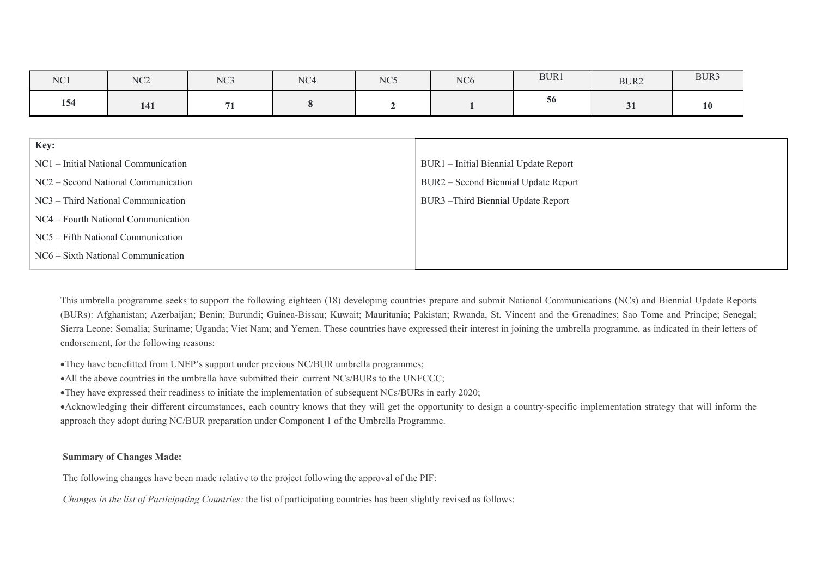| NC1  | NC2                                  | NC <sub>3</sub> | NC <sub>4</sub> | NC5                                 | NC <sub>6</sub>                       | BUR1 | BUR2 | BUR3      |  |  |  |
|------|--------------------------------------|-----------------|-----------------|-------------------------------------|---------------------------------------|------|------|-----------|--|--|--|
| 154  | 141                                  | 71              | 8               |                                     | 56                                    |      | 31   | <b>10</b> |  |  |  |
|      |                                      |                 |                 |                                     |                                       |      |      |           |  |  |  |
| Key: |                                      |                 |                 |                                     |                                       |      |      |           |  |  |  |
|      | NC1 – Initial National Communication |                 |                 |                                     | BUR1 - Initial Biennial Update Report |      |      |           |  |  |  |
|      | NC2 – Second National Communication  |                 |                 |                                     | BUR2 – Second Biennial Update Report  |      |      |           |  |  |  |
|      | NC3 – Third National Communication   |                 |                 | BUR3 - Third Biennial Update Report |                                       |      |      |           |  |  |  |
|      | NC4 – Fourth National Communication  |                 |                 |                                     |                                       |      |      |           |  |  |  |
|      | NC5 - Fifth National Communication   |                 |                 |                                     |                                       |      |      |           |  |  |  |
|      | NC6 - Sixth National Communication   |                 |                 |                                     |                                       |      |      |           |  |  |  |

This umbrella programme seeks to support the following eighteen (18) developing countries prepare and submit National Communications (NCs) and Biennial Update Reports (BURs): Afghanistan; Azerbaijan; Benin; Burundi; Guinea-Bissau; Kuwait; Mauritania; Pakistan; Rwanda, St. Vincent and the Grenadines; Sao Tome and Principe; Senegal; Sierra Leone; Somalia; Suriname; Uganda; Viet Nam; and Yemen. These countries have expressed their interest in joining the umbrella programme, as indicated in their letters of endorsement, for the following reasons:

They have benefitted from UNEP's support under previous NC/BUR umbrella programmes;

• All the above countries in the umbrella have submitted their current NCs/BURs to the UNFCCC;

They have expressed their readiness to initiate the implementation of subsequent NCs/BURs in early 2020;

Acknowledging their different circumstances, each country knows that they will get the opportunity to design a country-specific implementation strategy that will inform the approach they adopt during NC/BUR preparation under Component 1 of the Umbrella Programme.

## **Summary of Changes Made:**

The following changes have been made relative to the project following the approval of the PIF:

*Changes in the list of Participating Countries:* the list of participating countries has been slightly revised as follows: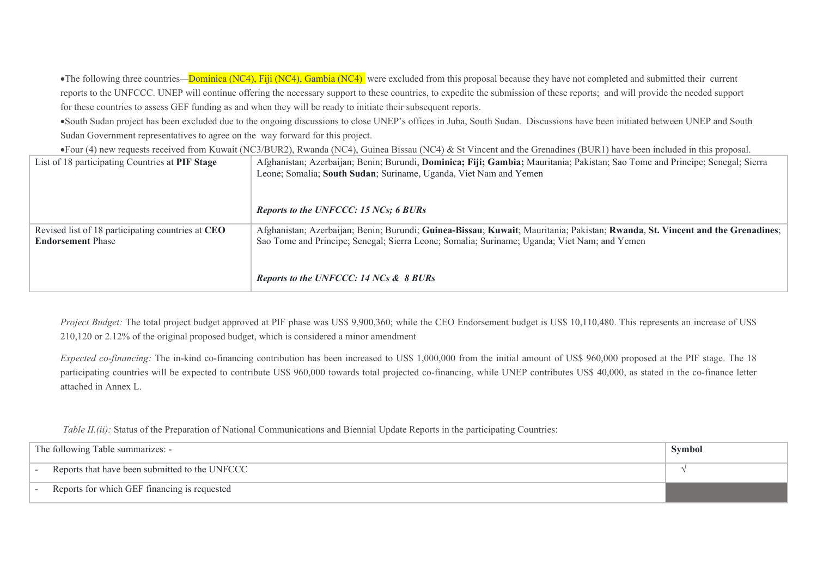•The following three countries—Dominica (NC4), Fiji (NC4), Gambia (NC4) were excluded from this proposal because they have not completed and submitted their current reports to the UNFCCC. UNEP will continue offering the necessary support to these countries, to expedite the submission of these reports; and will provide the needed support for these countries to assess GEF funding as and when they will be ready to initiate their subsequent reports.

South Sudan project has been excluded due to the ongoing discussions to close UNEP's offices in Juba, South Sudan. Discussions have been initiated between UNEP and South Sudan Government representatives to agree on the way forward for this project.

Four (4) new requests received from Kuwait (NC3/BUR2), Rwanda (NC4), Guinea Bissau (NC4) & St Vincent and the Grenadines (BUR1) have been included in this proposal.

| List of 18 participating Countries at PIF Stage                               | Afghanistan; Azerbaijan; Benin; Burundi, Dominica; Fiji; Gambia; Mauritania; Pakistan; Sao Tome and Principe; Senegal; Sierra<br>Leone; Somalia; South Sudan; Suriname, Uganda, Viet Nam and Yemen                            |
|-------------------------------------------------------------------------------|-------------------------------------------------------------------------------------------------------------------------------------------------------------------------------------------------------------------------------|
|                                                                               | Reports to the UNFCCC: 15 NCs; 6 BURs                                                                                                                                                                                         |
| Revised list of 18 participating countries at CEO<br><b>Endorsement Phase</b> | Afghanistan; Azerbaijan; Benin; Burundi; Guinea-Bissau; Kuwait; Mauritania; Pakistan; Rwanda, St. Vincent and the Grenadines;<br>Sao Tome and Principe; Senegal; Sierra Leone; Somalia; Suriname; Uganda; Viet Nam; and Yemen |
|                                                                               | Reports to the UNFCCC: 14 NCs & 8 BURs                                                                                                                                                                                        |

*Project Budget:* The total project budget approved at PIF phase was US\$ 9,900,360; while the CEO Endorsement budget is US\$ 10,110,480. This represents an increase of US\$ 210,120 or 2.12% of the original proposed budget, which is considered a minor amendment

*Expected co-financing:* The in-kind co-financing contribution has been increased to US\$ 1,000,000 from the initial amount of US\$ 960,000 proposed at the PIF stage. The 18 participating countries will be expected to contribute US\$ 960,000 towards total projected co-financing, while UNEP contributes US\$ 40,000, as stated in the co-finance letter attached in Annex L.

*Table II.(ii):* Status of the Preparation of National Communications and Biennial Update Reports in the participating Countries:

| The following Table summarizes: -                            | Symbol |
|--------------------------------------------------------------|--------|
| Reports that have been submitted to the UNFCCC<br>$\sim$ $-$ |        |
| Reports for which GEF financing is requested<br>$\sim$ $-$   |        |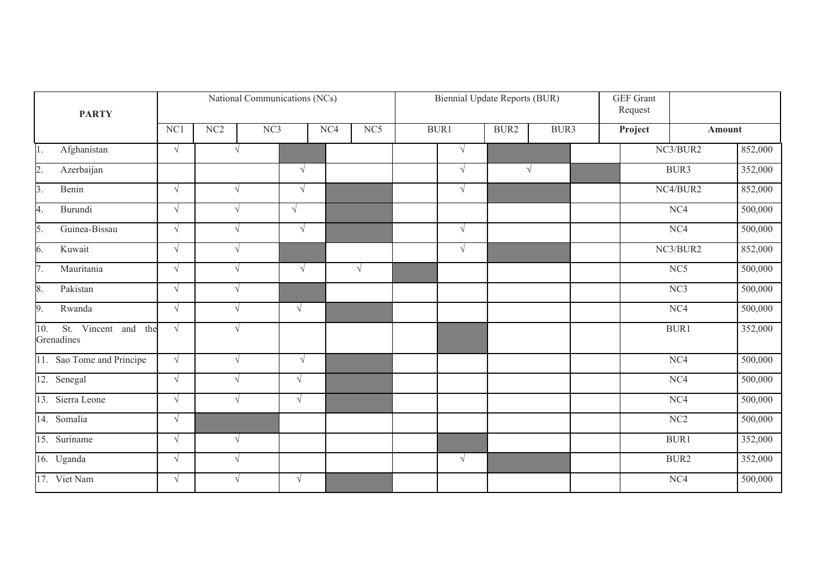| <b>PARTY</b>                                |            |            | National Communications (NCs) |            |                 |            | <b>Biennial Update Reports (BUR)</b> |      | GEF Grant<br>Request |                  |         |
|---------------------------------------------|------------|------------|-------------------------------|------------|-----------------|------------|--------------------------------------|------|----------------------|------------------|---------|
|                                             | NC1        | $\rm NC2$  | NC3                           | NC4        | NC <sub>5</sub> | BUR1       |                                      | BUR3 | Project              | Amount           |         |
| $\overline{1}$ .<br>Afghanistan             | $\sqrt{ }$ | $\sqrt{ }$ |                               |            |                 | $\sqrt{ }$ |                                      |      |                      | NC3/BUR2         | 852,000 |
| $\overline{2}$ .<br>Azerbaijan              |            |            |                               | $\sqrt{ }$ |                 | $\sqrt{ }$ | $\sqrt{ }$                           |      |                      | BUR3             | 352,000 |
| $\beta$ .<br>Benin                          | $\sqrt{ }$ | $\sqrt{ }$ |                               | $\sqrt{ }$ |                 | $\sqrt{ }$ |                                      |      |                      | NC4/BUR2         | 852,000 |
| 4.<br>Burundi                               | $\sqrt{ }$ | $\sqrt{ }$ |                               | $\sqrt{ }$ |                 |            |                                      |      |                      | NC4              | 500,000 |
| $\overline{5}$ .<br>Guinea-Bissau           | $\sqrt{ }$ | $\sqrt{ }$ |                               | $\sqrt{ }$ |                 | $\sqrt{ }$ |                                      |      |                      | NC4              | 500,000 |
| $\overline{6}$ .<br>Kuwait                  | $\sqrt{ }$ | $\sqrt{ }$ |                               |            |                 | $\sqrt{ }$ |                                      |      |                      | NC3/BUR2         | 852,000 |
| $\overline{7}$ .<br>Mauritania              | $\sqrt{ }$ | $\sqrt{ }$ |                               | $\sqrt{ }$ | $\sqrt{ }$      |            |                                      |      |                      | NC <sub>5</sub>  | 500,000 |
| 8.<br>Pakistan                              | $\sqrt{ }$ | $\sqrt{ }$ |                               |            |                 |            |                                      |      |                      | NC3              | 500,000 |
| $\overline{9}$ .<br>Rwanda                  | $\sqrt{}$  | $\sqrt{}$  |                               | $\sqrt{ }$ |                 |            |                                      |      |                      | NC4              | 500,000 |
| St. Vincent and<br>10.<br>the<br>Grenadines | $\sqrt{ }$ | $\sqrt{}$  |                               |            |                 |            |                                      |      |                      | BUR1             | 352,000 |
| 11. Sao Tome and Principe                   | $\sqrt{ }$ | $\sqrt{ }$ |                               | $\sqrt{ }$ |                 |            |                                      |      |                      | NC4              | 500,000 |
| 12. Senegal                                 | $\sqrt{ }$ | $\sqrt{ }$ |                               | $\sqrt{ }$ |                 |            |                                      |      |                      | $\overline{NC4}$ | 500,000 |
| 13. Sierra Leone                            | $\sqrt{ }$ | $\sqrt{ }$ |                               | $\sqrt{ }$ |                 |            |                                      |      |                      | NC4              | 500,000 |
| 14. Somalia                                 | $\sqrt{ }$ |            |                               |            |                 |            |                                      |      |                      | NC2              | 500,000 |
| 15. Suriname                                | $\sqrt{ }$ | $\sqrt{ }$ |                               |            |                 |            |                                      |      |                      | BUR1             | 352,000 |
| 16. Uganda                                  | $\sqrt{ }$ | $\sqrt{ }$ |                               |            |                 | $\sqrt{ }$ |                                      |      |                      | BUR2             | 352,000 |
| 17. Viet Nam                                | $\sqrt{ }$ | V          |                               | $\sqrt{ }$ |                 |            |                                      |      |                      | NC4              | 500,000 |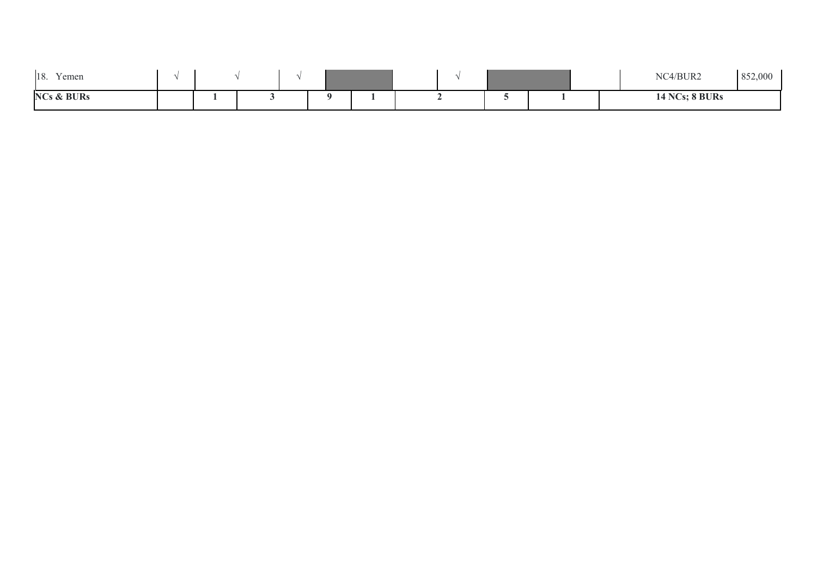| $\tau$<br>18.<br>Yemen |  |  |  |  |  | NC4/BUR2              | 852,000 |
|------------------------|--|--|--|--|--|-----------------------|---------|
| <b>NCs &amp; BURs</b>  |  |  |  |  |  | <b>14 NCs; 8 BURs</b> |         |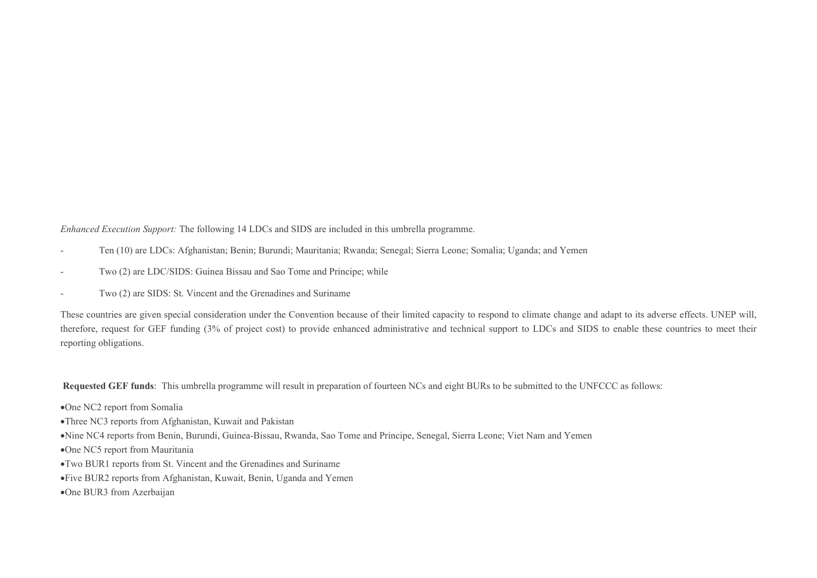*Enhanced Execution Support:* The following 14 LDCs and SIDS are included in this umbrella programme.

- Ten (10) are LDCs: Afghanistan; Benin; Burundi; Mauritania; Rwanda; Senegal; Sierra Leone; Somalia; Uganda; and Yemen
- Two (2) are LDC/SIDS: Guinea Bissau and Sao Tome and Principe; while
- Two (2) are SIDS: St. Vincent and the Grenadines and Suriname

These countries are given special consideration under the Convention because of their limited capacity to respond to climate change and adapt to its adverse effects. UNEP will, therefore, request for GEF funding (3% of project cost) to provide enhanced administrative and technical support to LDCs and SIDS to enable these countries to meet their reporting obligations.

 **Requested GEF funds**: This umbrella programme will result in preparation of fourteen NCs and eight BURs to be submitted to the UNFCCC as follows:

- One NC2 report from Somalia
- Three NC3 reports from Afghanistan, Kuwait and Pakistan
- Nine NC4 reports from Benin, Burundi, Guinea-Bissau, Rwanda, Sao Tome and Principe, Senegal, Sierra Leone; Viet Nam and Yemen
- One NC5 report from Mauritania
- Two BUR1 reports from St. Vincent and the Grenadines and Suriname
- Five BUR2 reports from Afghanistan, Kuwait, Benin, Uganda and Yemen
- One BUR3 from Azerbaijan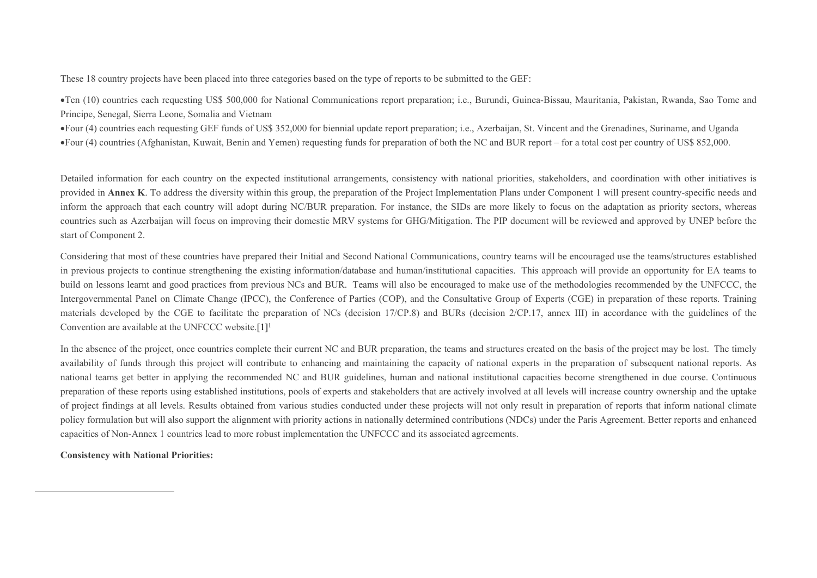These 18 country projects have been placed into three categories based on the type of reports to be submitted to the GEF:

Ten (10) countries each requesting US\$ 500,000 for National Communications report preparation; i.e., Burundi, Guinea-Bissau, Mauritania, Pakistan, Rwanda, Sao Tome and Principe, Senegal, Sierra Leone, Somalia and Vietnam

Four (4) countries each requesting GEF funds of US\$ 352,000 for biennial update report preparation; i.e., Azerbaijan, St. Vincent and the Grenadines, Suriname, and Uganda Four (4) countries (Afghanistan, Kuwait, Benin and Yemen) requesting funds for preparation of both the NC and BUR report – for a total cost per country of US\$ 852,000.

Detailed information for each country on the expected institutional arrangements, consistency with national priorities, stakeholders, and coordination with other initiatives is provided in **Annex K**. To address the diversity within this group, the preparation of the Project Implementation Plans under Component 1 will present country-specific needs and inform the approach that each country will adopt during NC/BUR preparation. For instance, the SIDs are more likely to focus on the adaptation as priority sectors, whereas countries such as Azerbaijan will focus on improving their domestic MRV systems for GHG/Mitigation. The PIP document will be reviewed and approved by UNEP before the start of Component 2.

Considering that most of these countries have prepared their Initial and Second National Communications, country teams will be encouraged use the teams/structures established in previous projects to continue strengthening the existing information/database and human/institutional capacities. This approach will provide an opportunity for EA teams to build on lessons learnt and good practices from previous NCs and BUR. Teams will also be encouraged to make use of the methodologies recommended by the UNFCCC, the Intergovernmental Panel on Climate Change (IPCC), the Conference of Parties (COP), and the Consultative Group of Experts (CGE) in preparation of these reports. Training materials developed by the CGE to facilitate the preparation of NCs (decision 17/CP.8) and BURs (decision 2/CP.17, annex III) in accordance with the guidelines of the Convention are available at the UNFCCC website.<sup>[1]1</sup>

In the absence of the project, once countries complete their current NC and BUR preparation, the teams and structures created on the basis of the project may be lost. The timely availability of funds through this project will contribute to enhancing and maintaining the capacity of national experts in the preparation of subsequent national reports. As national teams get better in applying the recommended NC and BUR guidelines, human and national institutional capacities become strengthened in due course. Continuous preparation of these reports using established institutions, pools of experts and stakeholders that are actively involved at all levels will increase country ownership and the uptake of project findings at all levels. Results obtained from various studies conducted under these projects will not only result in preparation of reports that inform national climate policy formulation but will also support the alignment with priority actions in nationally determined contributions (NDCs) under the Paris Agreement. Better reports and enhanced capacities of Non-Annex 1 countries lead to more robust implementation the UNFCCC and its associated agreements.

**Consistency with National Priorities:**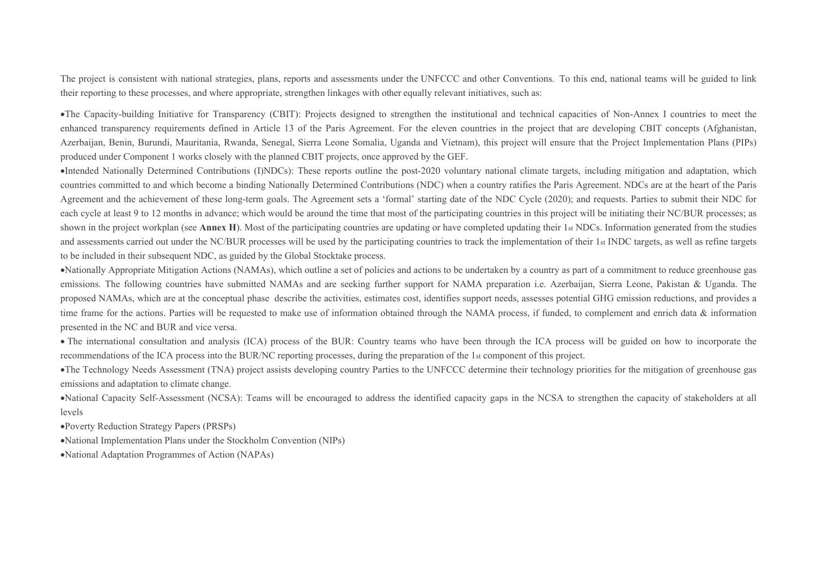The project is consistent with national strategies, plans, reports and assessments under the UNFCCC and other Conventions. To this end, national teams will be guided to link their reporting to these processes, and where appropriate, strengthen linkages with other equally relevant initiatives, such as:

The Capacity-building Initiative for Transparency (CBIT): Projects designed to strengthen the institutional and technical capacities of Non-Annex I countries to meet the enhanced transparency requirements defined in Article 13 of the Paris Agreement. For the eleven countries in the project that are developing CBIT concepts (Afghanistan, Azerbaijan, Benin, Burundi, Mauritania, Rwanda, Senegal, Sierra Leone Somalia, Uganda and Vietnam), this project will ensure that the Project Implementation Plans (PIPs) produced under Component 1 works closely with the planned CBIT projects, once approved by the GEF.

Intended Nationally Determined Contributions (I)NDCs): These reports outline the post-2020 voluntary national climate targets, including mitigation and adaptation, which countries committed to and which become a binding Nationally Determined Contributions (NDC) when a country ratifies the Paris Agreement. NDCs are at the heart of the Paris Agreement and the achievement of these long-term goals. The Agreement sets a 'formal' starting date of the NDC Cycle (2020); and requests. Parties to submit their NDC for each cycle at least 9 to 12 months in advance; which would be around the time that most of the participating countries in this project will be initiating their NC/BUR processes; as shown in the project workplan (see **Annex H**). Most of the participating countries are updating or have completed updating their 1st NDCs. Information generated from the studies and assessments carried out under the NC/BUR processes will be used by the participating countries to track the implementation of their 1st INDC targets, as well as refine targets to be included in their subsequent NDC, as guided by the Global Stocktake process.

Nationally Appropriate Mitigation Actions (NAMAs), which outline a set of policies and actions to be undertaken by a country as part of a commitment to reduce greenhouse gas emissions. The following countries have submitted NAMAs and are seeking further support for NAMA preparation i.e. Azerbaijan, Sierra Leone, Pakistan & Uganda. The proposed NAMAs, which are at the conceptual phase describe the activities, estimates cost, identifies support needs, assesses potential GHG emission reductions, and provides a time frame for the actions. Parties will be requested to make use of information obtained through the NAMA process, if funded, to complement and enrich data  $\&$  information presented in the NC and BUR and vice versa.

 The international consultation and analysis (ICA) process of the BUR: Country teams who have been through the ICA process will be guided on how to incorporate the recommendations of the ICA process into the BUR/NC reporting processes, during the preparation of the 1st component of this project.

The Technology Needs Assessment (TNA) project assists developing country Parties to the UNFCCC determine their technology priorities for the mitigation of greenhouse gas emissions and adaptation to climate change.

National Capacity Self-Assessment (NCSA): Teams will be encouraged to address the identified capacity gaps in the NCSA to strengthen the capacity of stakeholders at all levels

Poverty Reduction Strategy Papers (PRSPs)

National Implementation Plans under the Stockholm Convention (NIPs)

National Adaptation Programmes of Action (NAPAs)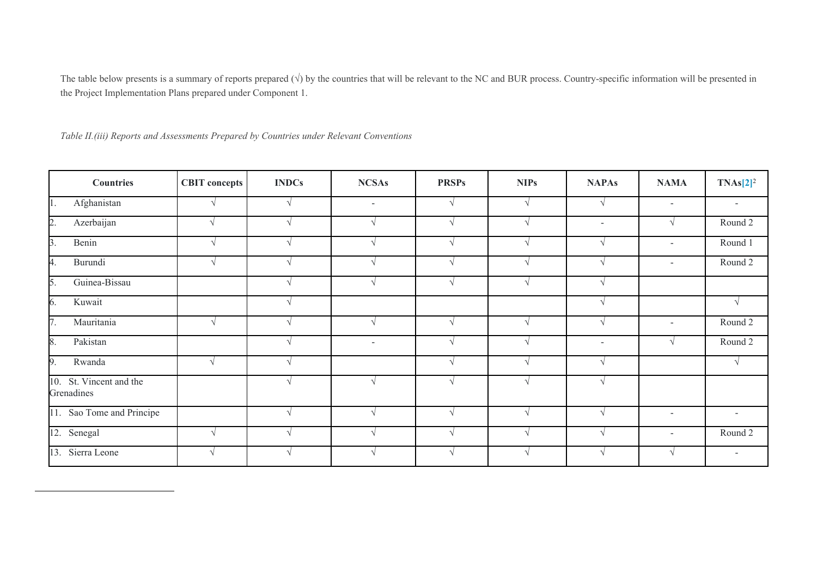The table below presents is a summary of reports prepared  $(\sqrt{)}$  by the countries that will be relevant to the NC and BUR process. Country-specific information will be presented in the Project Implementation Plans prepared under Component 1.

*Table II.(iii) Reports and Assessments Prepared by Countries under Relevant Conventions*

| <b>Countries</b>                      | <b>CBIT</b> concepts | <b>INDCs</b> | <b>NCSAs</b>  | <b>PRSPs</b>  | <b>NIPs</b> | <b>NAPAs</b>             | <b>NAMA</b>              | $TNAS[2]^2$              |
|---------------------------------------|----------------------|--------------|---------------|---------------|-------------|--------------------------|--------------------------|--------------------------|
| Afghanistan<br>$\vert 1 \vert$        | $\mathcal{A}$        |              | $\sim$        |               | $\sqrt{ }$  | V                        | $\sim$                   | $\sim$                   |
| $\overline{2}$ .<br>Azerbaijan        | $\gamma$             |              | $\sqrt{ }$    | $\sqrt{ }$    | $\sqrt{ }$  | $\overline{\phantom{a}}$ | $\mathcal{L}$            | Round 2                  |
| $\overline{3}$ .<br>Benin             | $\sqrt{ }$           |              | $\sqrt{ }$    |               | $\sqrt{ }$  | $\sqrt{ }$               | $\sim$                   | Round 1                  |
| 4.<br>Burundi                         | $\sqrt{ }$           |              | $\sqrt{ }$    |               | $\sqrt{ }$  | $\mathcal{N}$            | $\overline{\phantom{a}}$ | Round 2                  |
| 5.<br>Guinea-Bissau                   |                      |              | $\sqrt{ }$    |               | $\sqrt{ }$  | $\sqrt{ }$               |                          |                          |
| 6.<br>Kuwait                          |                      |              |               |               |             |                          |                          | $\sqrt{ }$               |
| $\overline{7}$ .<br>Mauritania        | $\sqrt{ }$           |              | $\mathcal{N}$ |               | $\sqrt{ }$  | $\sqrt{ }$               | $\sim$                   | Round 2                  |
| 8.<br>Pakistan                        |                      |              | $\sim$        | $\mathcal{L}$ | $\sqrt{ }$  | $\overline{\phantom{a}}$ |                          | Round 2                  |
| 9.<br>Rwanda                          | $\sqrt{ }$           |              |               |               | $\sqrt{ }$  | $\sqrt{ }$               |                          |                          |
| 10. St. Vincent and the<br>Grenadines |                      |              | $\sqrt{ }$    |               | $\sqrt{ }$  | $\sqrt{ }$               |                          |                          |
| 11. Sao Tome and Principe             |                      |              | $\Delta$      | $\mathcal{N}$ | $\sqrt{ }$  | $\sqrt{ }$               | $\overline{\phantom{0}}$ | $\overline{\phantom{a}}$ |
| $\overline{12}$ . Senegal             | $\sqrt{ }$           |              | $\mathcal{A}$ |               | $\sqrt{ }$  | $\sqrt{ }$               | $\overline{\phantom{a}}$ | Round 2                  |
| 13. Sierra Leone                      |                      |              |               |               |             |                          |                          |                          |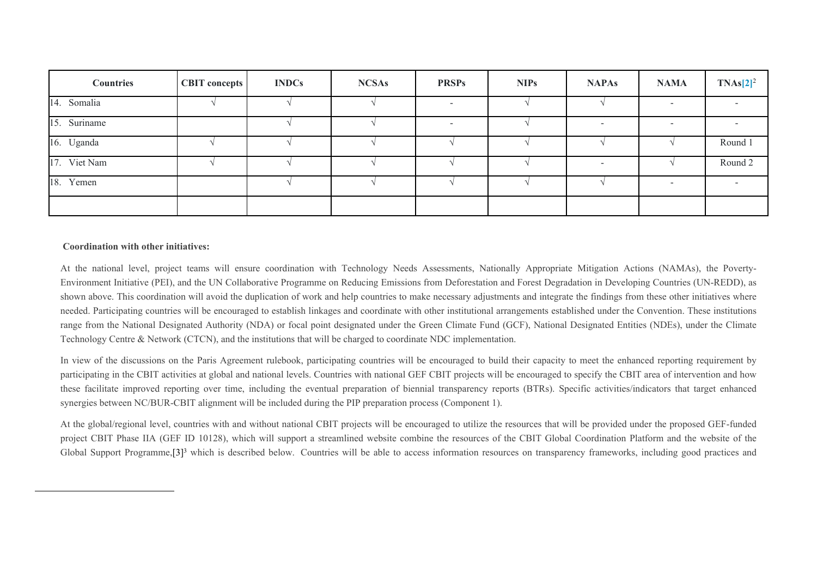| <b>Countries</b> | CBIT concepts | <b>INDCs</b> | <b>NCSAs</b> | <b>PRSPs</b>             | <b>NIPs</b> | <b>NAPAs</b>             | <b>NAMA</b>              | $TNAs[2]^2$ |
|------------------|---------------|--------------|--------------|--------------------------|-------------|--------------------------|--------------------------|-------------|
| 14. Somalia      |               |              |              | $\overline{\phantom{a}}$ |             |                          | $\overline{\phantom{a}}$ |             |
| 15. Suriname     |               |              |              |                          |             | $\overline{\phantom{a}}$ | -                        |             |
| 16. Uganda       |               |              |              |                          |             |                          |                          | Round 1     |
| 17. Viet Nam     |               |              |              |                          |             | $\overline{\phantom{a}}$ |                          | Round 2     |
| 18. Yemen        |               |              |              |                          |             |                          |                          |             |
|                  |               |              |              |                          |             |                          |                          |             |

#### **Coordination with other initiatives:**

At the national level, project teams will ensure coordination with Technology Needs Assessments, Nationally Appropriate Mitigation Actions (NAMAs), the Poverty-Environment Initiative (PEI), and the UN Collaborative Programme on Reducing Emissions from Deforestation and Forest Degradation in Developing Countries (UN-REDD), as shown above. This coordination will avoid the duplication of work and help countries to make necessary adjustments and integrate the findings from these other initiatives where needed. Participating countries will be encouraged to establish linkages and coordinate with other institutional arrangements established under the Convention. These institutions range from the National Designated Authority (NDA) or focal point designated under the Green Climate Fund (GCF), National Designated Entities (NDEs), under the Climate Technology Centre & Network (CTCN), and the institutions that will be charged to coordinate NDC implementation.

In view of the discussions on the Paris Agreement rulebook, participating countries will be encouraged to build their capacity to meet the enhanced reporting requirement by participating in the CBIT activities at global and national levels. Countries with national GEF CBIT projects will be encouraged to specify the CBIT area of intervention and how these facilitate improved reporting over time, including the eventual preparation of biennial transparency reports (BTRs). Specific activities/indicators that target enhanced synergies between NC/BUR-CBIT alignment will be included during the PIP preparation process (Component 1).

At the global/regional level, countries with and without national CBIT projects will be encouraged to utilize the resources that will be provided under the proposed GEF-funded project CBIT Phase IIA (GEF ID 10128), which will support a streamlined website combine the resources of the CBIT Global Coordination Platform and the website of the Global Support Programme, [3]<sup>3</sup> which is described below. Countries will be able to access information resources on transparency frameworks, including good practices and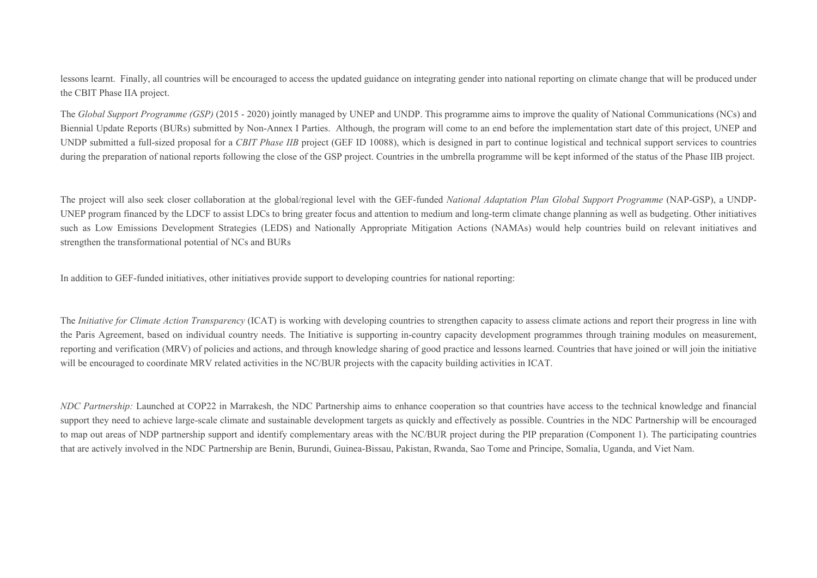lessons learnt. Finally, all countries will be encouraged to access the updated guidance on integrating gender into national reporting on climate change that will be produced under the CBIT Phase IIA project.

The *Global Support Programme (GSP)* (2015 - 2020) jointly managed by UNEP and UNDP. This programme aims to improve the quality of National Communications (NCs) and Biennial Update Reports (BURs) submitted by Non-Annex I Parties. Although, the program will come to an end before the implementation start date of this project, UNEP and UNDP submitted a full-sized proposal for a *CBIT Phase IIB* project (GEF ID 10088), which is designed in part to continue logistical and technical support services to countries during the preparation of national reports following the close of the GSP project. Countries in the umbrella programme will be kept informed of the status of the Phase IIB project.

The project will also seek closer collaboration at the global/regional level with the GEF-funded *National Adaptation Plan Global Support Programme* (NAP-GSP), a UNDP-UNEP program financed by the LDCF to assist LDCs to bring greater focus and attention to medium and long-term climate change planning as well as budgeting. Other initiatives such as Low Emissions Development Strategies (LEDS) and Nationally Appropriate Mitigation Actions (NAMAs) would help countries build on relevant initiatives and strengthen the transformational potential of NCs and BURs

In addition to GEF-funded initiatives, other initiatives provide support to developing countries for national reporting:

The *Initiative for Climate Action Transparency* (ICAT) is working with developing countries to strengthen capacity to assess climate actions and report their progress in line with the Paris Agreement, based on individual country needs. The Initiative is supporting in-country capacity development programmes through training modules on measurement, reporting and verification (MRV) of policies and actions, and through knowledge sharing of good practice and lessons learned. Countries that have joined or will join the initiative will be encouraged to coordinate MRV related activities in the NC/BUR projects with the capacity building activities in ICAT.

*NDC Partnership:* Launched at COP22 in Marrakesh, the NDC Partnership aims to enhance cooperation so that countries have access to the technical knowledge and financial support they need to achieve large-scale climate and sustainable development targets as quickly and effectively as possible. Countries in the NDC Partnership will be encouraged to map out areas of NDP partnership support and identify complementary areas with the NC/BUR project during the PIP preparation (Component 1). The participating countries that are actively involved in the NDC Partnership are Benin, Burundi, Guinea-Bissau, Pakistan, Rwanda, Sao Tome and Principe, Somalia, Uganda, and Viet Nam.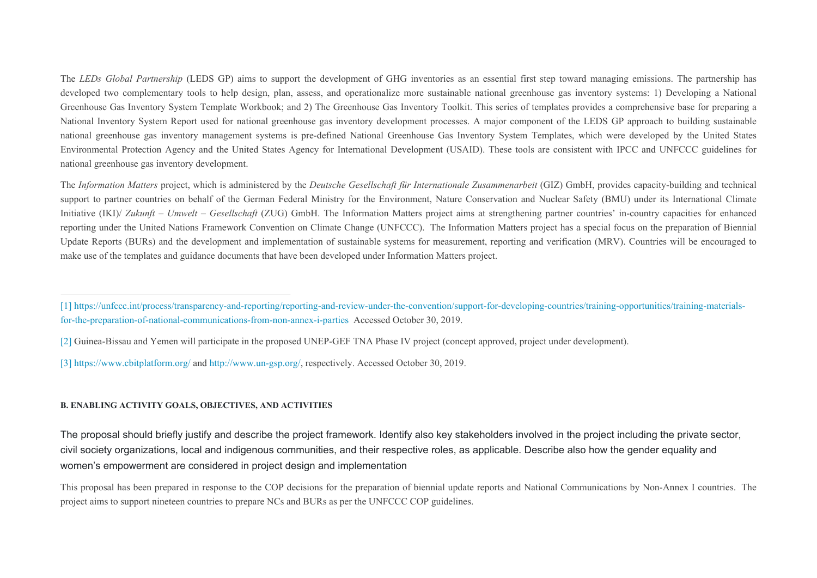The *LEDs Global Partnership* (LEDS GP) aims to support the development of GHG inventories as an essential first step toward managing emissions. The partnership has developed two complementary tools to help design, plan, assess, and operationalize more sustainable national greenhouse gas inventory systems: 1) Developing a National Greenhouse Gas Inventory System Template Workbook; and 2) The Greenhouse Gas Inventory Toolkit. This series of templates provides a comprehensive base for preparing a National Inventory System Report used for national greenhouse gas inventory development processes. A major component of the LEDS GP approach to building sustainable national greenhouse gas inventory management systems is pre-defined National Greenhouse Gas Inventory System Templates, which were developed by the United States Environmental Protection Agency and the United States Agency for International Development (USAID). These tools are consistent with IPCC and UNFCCC guidelines for national greenhouse gas inventory development.

The *Information Matters* project, which is administered by the *Deutsche Gesellschaft für Internationale Zusammenarbeit* (GIZ) GmbH, provides capacity-building and technical support to partner countries on behalf of the German Federal Ministry for the Environment, Nature Conservation and Nuclear Safety (BMU) under its International Climate Initiative (IKI)/ *Zukunft – Umwelt – Gesellschaft* (ZUG) GmbH. The Information Matters project aims at strengthening partner countries' in-country capacities for enhanced reporting under the United Nations Framework Convention on Climate Change (UNFCCC). The Information Matters project has a special focus on the preparation of Biennial Update Reports (BURs) and the development and implementation of sustainable systems for measurement, reporting and verification (MRV). Countries will be encouraged to make use of the templates and guidance documents that have been developed under Information Matters project.

[\[3\]](file:///C:/9th%20Umbrella/Submission%20to%20the%20GEF_2020/SLegro_%20Reviewed/10167%20GEF%207%20Enabling%20Activity_02-17-2020%20CLEAN.doc#_ftnref3) <https://www.cbitplatform.org/> and [http://www.un-gsp.org/,](http://www.un-gsp.org/) respectively. Accessed October 30, 2019.

## **B. ENABLING ACTIVITY GOALS, OBJECTIVES, AND ACTIVITIES**

The proposal should briefly justify and describe the project framework. Identify also key stakeholders involved in the project including the private sector, civil society organizations, local and indigenous communities, and their respective roles, as applicable. Describe also how the gender equality and women's empowerment are considered in project design and implementation

This proposal has been prepared in response to the COP decisions for the preparation of biennial update reports and National Communications by Non-Annex I countries. The project aims to support nineteen countries to prepare NCs and BURs as per the UNFCCC COP guidelines.

[<sup>\[1\]</sup>](file:///C:/9th%20Umbrella/Submission%20to%20the%20GEF_2020/SLegro_%20Reviewed/10167%20GEF%207%20Enabling%20Activity_02-17-2020%20CLEAN.doc#_ftnref1) [https://unfccc.int/process/transparency-and-reporting/reporting-and-review-under-the-convention/support-for-developing-countries/training-opportunities/training-materials](https://unfccc.int/process/transparency-and-reporting/reporting-and-review-under-the-convention/support-for-developing-countries/training-opportunities/training-materials-for-the-preparation-of-national-communications-from-non-annex-i-parties)[for-the-preparation-of-national-communications-from-non-annex-i-parties](https://unfccc.int/process/transparency-and-reporting/reporting-and-review-under-the-convention/support-for-developing-countries/training-opportunities/training-materials-for-the-preparation-of-national-communications-from-non-annex-i-parties) Accessed October 30, 2019.

[<sup>\[2\]</sup>](file:///C:/9th%20Umbrella/Submission%20to%20the%20GEF_2020/SLegro_%20Reviewed/10167%20GEF%207%20Enabling%20Activity_02-17-2020%20CLEAN.doc#_ftnref2) Guinea-Bissau and Yemen will participate in the proposed UNEP-GEF TNA Phase IV project (concept approved, project under development).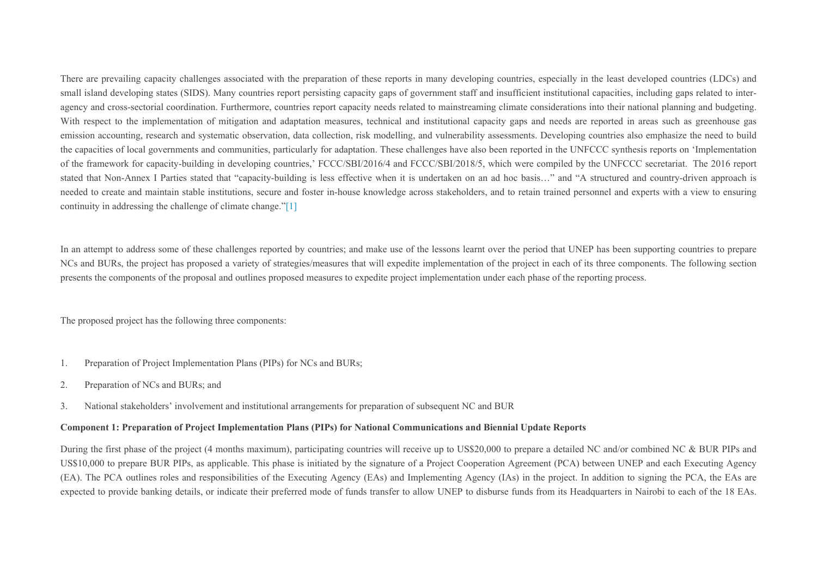There are prevailing capacity challenges associated with the preparation of these reports in many developing countries, especially in the least developed countries (LDCs) and small island developing states (SIDS). Many countries report persisting capacity gaps of government staff and insufficient institutional capacities, including gaps related to interagency and cross-sectorial coordination. Furthermore, countries report capacity needs related to mainstreaming climate considerations into their national planning and budgeting. With respect to the implementation of mitigation and adaptation measures, technical and institutional capacity gaps and needs are reported in areas such as greenhouse gas emission accounting, research and systematic observation, data collection, risk modelling, and vulnerability assessments. Developing countries also emphasize the need to build the capacities of local governments and communities, particularly for adaptation. These challenges have also been reported in the UNFCCC synthesis reports on 'Implementation of the framework for capacity-building in developing countries,' FCCC/SBI/2016/4 and FCCC/SBI/2018/5, which were compiled by the UNFCCC secretariat. The 2016 report stated that Non-Annex I Parties stated that "capacity-building is less effective when it is undertaken on an ad hoc basis…" and "A structured and country-driven approach is needed to create and maintain stable institutions, secure and foster in-house knowledge across stakeholders, and to retain trained personnel and experts with a view to ensuring continuity in addressing the challenge of climate change.["\[1\]](file:///C:/9th%20Umbrella/Submission%20to%20the%20GEF_2020/SLegro_%20Reviewed/10167%20GEF%207%20Enabling%20Activity_02-17-2020%20CLEAN.doc#_ftn1)

In an attempt to address some of these challenges reported by countries; and make use of the lessons learnt over the period that UNEP has been supporting countries to prepare NCs and BURs, the project has proposed a variety of strategies/measures that will expedite implementation of the project in each of its three components. The following section presents the components of the proposal and outlines proposed measures to expedite project implementation under each phase of the reporting process.

The proposed project has the following three components:

- 1. Preparation of Project Implementation Plans (PIPs) for NCs and BURs;
- 2. Preparation of NCs and BURs; and
- 3. National stakeholders' involvement and institutional arrangements for preparation of subsequent NC and BUR

#### **Component 1: Preparation of Project Implementation Plans (PIPs) for National Communications and Biennial Update Reports**

During the first phase of the project (4 months maximum), participating countries will receive up to US\$20,000 to prepare a detailed NC and/or combined NC & BUR PIPs and US\$10,000 to prepare BUR PIPs, as applicable. This phase is initiated by the signature of a Project Cooperation Agreement (PCA) between UNEP and each Executing Agency (EA). The PCA outlines roles and responsibilities of the Executing Agency (EAs) and Implementing Agency (IAs) in the project. In addition to signing the PCA, the EAs are expected to provide banking details, or indicate their preferred mode of funds transfer to allow UNEP to disburse funds from its Headquarters in Nairobi to each of the 18 EAs.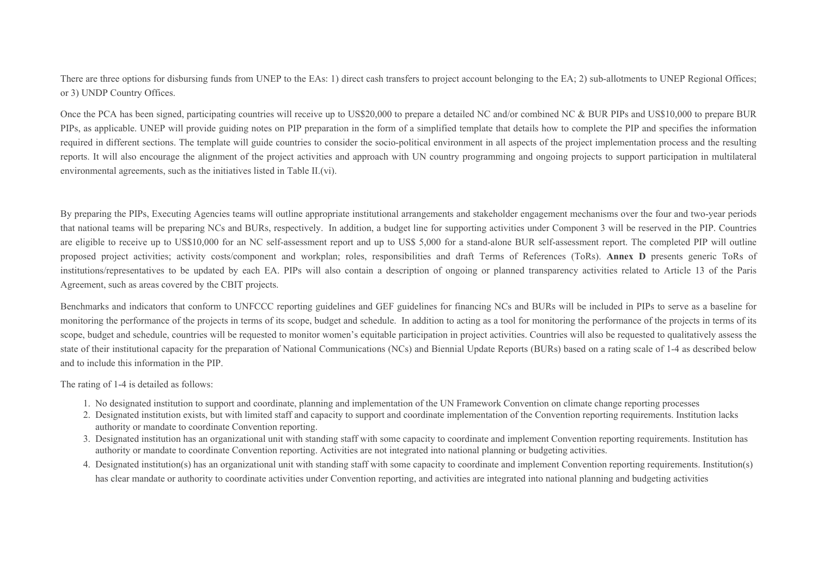There are three options for disbursing funds from UNEP to the EAs: 1) direct cash transfers to project account belonging to the EA; 2) sub-allotments to UNEP Regional Offices; or 3) UNDP Country Offices.

Once the PCA has been signed, participating countries will receive up to US\$20,000 to prepare a detailed NC and/or combined NC & BUR PIPs and US\$10,000 to prepare BUR PIPs, as applicable. UNEP will provide guiding notes on PIP preparation in the form of a simplified template that details how to complete the PIP and specifies the information required in different sections. The template will guide countries to consider the socio-political environment in all aspects of the project implementation process and the resulting reports. It will also encourage the alignment of the project activities and approach with UN country programming and ongoing projects to support participation in multilateral environmental agreements, such as the initiatives listed in Table II.(vi).

By preparing the PIPs, Executing Agencies teams will outline appropriate institutional arrangements and stakeholder engagement mechanisms over the four and two-year periods that national teams will be preparing NCs and BURs, respectively. In addition, a budget line for supporting activities under Component 3 will be reserved in the PIP. Countries are eligible to receive up to US\$10,000 for an NC self-assessment report and up to US\$ 5,000 for a stand-alone BUR self-assessment report. The completed PIP will outline proposed project activities; activity costs/component and workplan; roles, responsibilities and draft Terms of References (ToRs). **Annex D** presents generic ToRs of institutions/representatives to be updated by each EA. PIPs will also contain a description of ongoing or planned transparency activities related to Article 13 of the Paris Agreement, such as areas covered by the CBIT projects.

Benchmarks and indicators that conform to UNFCCC reporting guidelines and GEF guidelines for financing NCs and BURs will be included in PIPs to serve as a baseline for monitoring the performance of the projects in terms of its scope, budget and schedule. In addition to acting as a tool for monitoring the performance of the projects in terms of its scope, budget and schedule, countries will be requested to monitor women's equitable participation in project activities. Countries will also be requested to qualitatively assess the state of their institutional capacity for the preparation of National Communications (NCs) and Biennial Update Reports (BURs) based on a rating scale of 1-4 as described below and to include this information in the PIP.

The rating of 1-4 is detailed as follows:

- 1. No designated institution to support and coordinate, planning and implementation of the UN Framework Convention on climate change reporting processes
- 2. Designated institution exists, but with limited staff and capacity to support and coordinate implementation of the Convention reporting requirements. Institution lacks authority or mandate to coordinate Convention reporting.
- 3. Designated institution has an organizational unit with standing staff with some capacity to coordinate and implement Convention reporting requirements. Institution has authority or mandate to coordinate Convention reporting. Activities are not integrated into national planning or budgeting activities.
- 4. Designated institution(s) has an organizational unit with standing staff with some capacity to coordinate and implement Convention reporting requirements. Institution(s) has clear mandate or authority to coordinate activities under Convention reporting, and activities are integrated into national planning and budgeting activities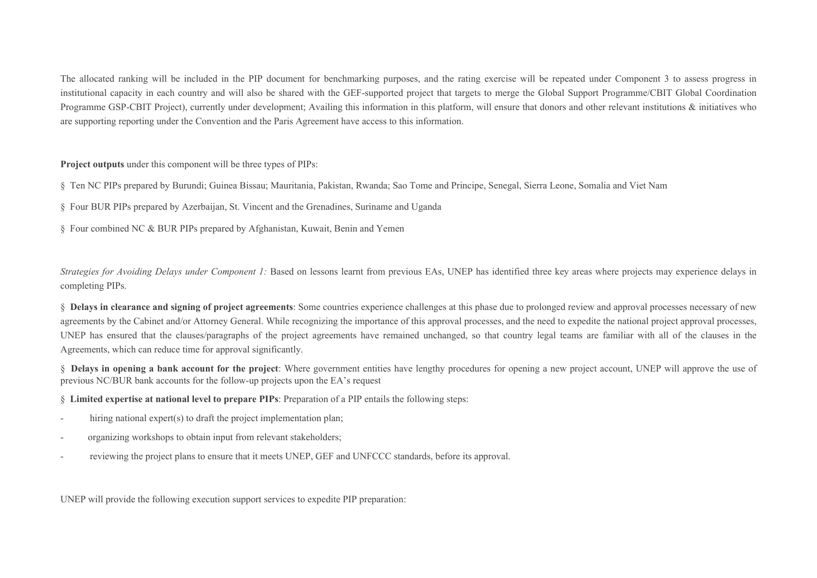The allocated ranking will be included in the PIP document for benchmarking purposes, and the rating exercise will be repeated under Component 3 to assess progress in institutional capacity in each country and will also be shared with the GEF-supported project that targets to merge the Global Support Programme/CBIT Global Coordination Programme GSP-CBIT Project), currently under development; Availing this information in this platform, will ensure that donors and other relevant institutions & initiatives who are supporting reporting under the Convention and the Paris Agreement have access to this information.

**Project outputs** under this component will be three types of PIPs:

§ Ten NC PIPs prepared by Burundi; Guinea Bissau; Mauritania, Pakistan, Rwanda; Sao Tome and Principe, Senegal, Sierra Leone, Somalia and Viet Nam

§ Four BUR PIPs prepared by Azerbaijan, St. Vincent and the Grenadines, Suriname and Uganda

§ Four combined NC & BUR PIPs prepared by Afghanistan, Kuwait, Benin and Yemen

*Strategies for Avoiding Delays under Component 1:* Based on lessons learnt from previous EAs, UNEP has identified three key areas where projects may experience delays in completing PIPs.

§ **Delays in clearance and signing of project agreements**: Some countries experience challenges at this phase due to prolonged review and approval processes necessary of new agreements by the Cabinet and/or Attorney General. While recognizing the importance of this approval processes, and the need to expedite the national project approval processes, UNEP has ensured that the clauses/paragraphs of the project agreements have remained unchanged, so that country legal teams are familiar with all of the clauses in the Agreements, which can reduce time for approval significantly.

§ **Delays in opening a bank account for the project**: Where government entities have lengthy procedures for opening a new project account, UNEP will approve the use of previous NC/BUR bank accounts for the follow-up projects upon the EA's request

§ **Limited expertise at national level to prepare PIPs**: Preparation of a PIP entails the following steps:

- hiring national expert(s) to draft the project implementation plan;
- organizing workshops to obtain input from relevant stakeholders;
- reviewing the project plans to ensure that it meets UNEP, GEF and UNFCCC standards, before its approval.

UNEP will provide the following execution support services to expedite PIP preparation: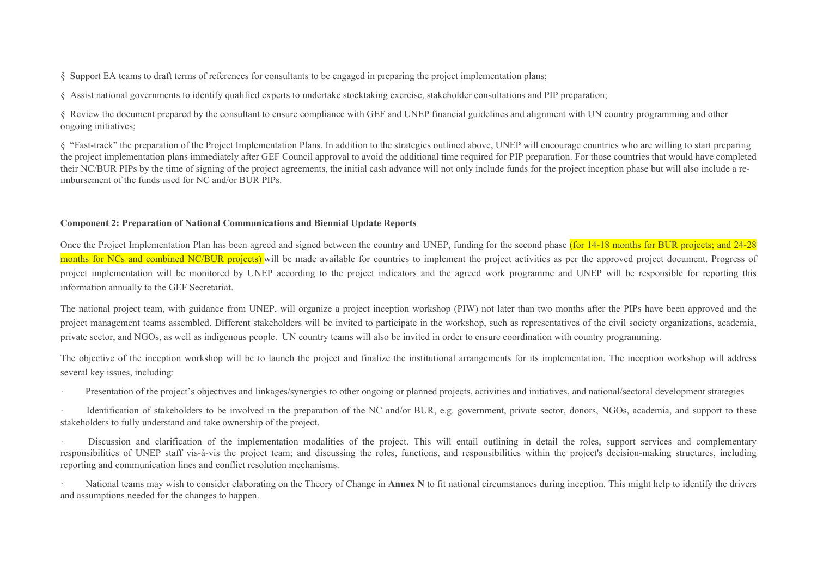§ Support EA teams to draft terms of references for consultants to be engaged in preparing the project implementation plans;

§ Assist national governments to identify qualified experts to undertake stocktaking exercise, stakeholder consultations and PIP preparation;

§ Review the document prepared by the consultant to ensure compliance with GEF and UNEP financial guidelines and alignment with UN country programming and other ongoing initiatives;

§ "Fast-track" the preparation of the Project Implementation Plans. In addition to the strategies outlined above, UNEP will encourage countries who are willing to start preparing the project implementation plans immediately after GEF Council approval to avoid the additional time required for PIP preparation. For those countries that would have completed their NC/BUR PIPs by the time of signing of the project agreements, the initial cash advance will not only include funds for the project inception phase but will also include a reimbursement of the funds used for NC and/or BUR PIPs.

## **Component 2: Preparation of National Communications and Biennial Update Reports**

Once the Project Implementation Plan has been agreed and signed between the country and UNEP, funding for the second phase (for 14-18 months for BUR projects; and 24-28 months for NCs and combined NC/BUR projects) will be made available for countries to implement the project activities as per the approved project document. Progress of project implementation will be monitored by UNEP according to the project indicators and the agreed work programme and UNEP will be responsible for reporting this information annually to the GEF Secretariat.

The national project team, with guidance from UNEP, will organize a project inception workshop (PIW) not later than two months after the PIPs have been approved and the project management teams assembled. Different stakeholders will be invited to participate in the workshop, such as representatives of the civil society organizations, academia, private sector, and NGOs, as well as indigenous people. UN country teams will also be invited in order to ensure coordination with country programming.

The objective of the inception workshop will be to launch the project and finalize the institutional arrangements for its implementation. The inception workshop will address several key issues, including:

Presentation of the project's objectives and linkages/synergies to other ongoing or planned projects, activities and initiatives, and national/sectoral development strategies

Identification of stakeholders to be involved in the preparation of the NC and/or BUR, e.g. government, private sector, donors, NGOs, academia, and support to these stakeholders to fully understand and take ownership of the project.

Discussion and clarification of the implementation modalities of the project. This will entail outlining in detail the roles, support services and complementary responsibilities of UNEP staff vis-à-vis the project team; and discussing the roles, functions, and responsibilities within the project's decision-making structures, including reporting and communication lines and conflict resolution mechanisms.

National teams may wish to consider elaborating on the Theory of Change in **Annex N** to fit national circumstances during inception. This might help to identify the drivers and assumptions needed for the changes to happen.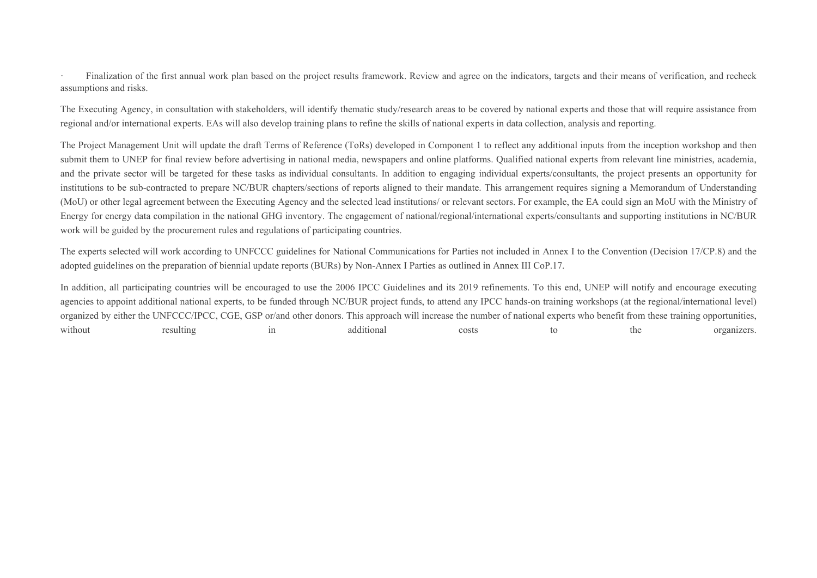Finalization of the first annual work plan based on the project results framework. Review and agree on the indicators, targets and their means of verification, and recheck assumptions and risks.

The Executing Agency, in consultation with stakeholders, will identify thematic study/research areas to be covered by national experts and those that will require assistance from regional and/or international experts. EAs will also develop training plans to refine the skills of national experts in data collection, analysis and reporting.

The Project Management Unit will update the draft Terms of Reference (ToRs) developed in Component 1 to reflect any additional inputs from the inception workshop and then submit them to UNEP for final review before advertising in national media, newspapers and online platforms. Qualified national experts from relevant line ministries, academia, and the private sector will be targeted for these tasks as individual consultants. In addition to engaging individual experts/consultants, the project presents an opportunity for institutions to be sub-contracted to prepare NC/BUR chapters/sections of reports aligned to their mandate. This arrangement requires signing a Memorandum of Understanding (MoU) or other legal agreement between the Executing Agency and the selected lead institutions/ or relevant sectors. For example, the EA could sign an MoU with the Ministry of Energy for energy data compilation in the national GHG inventory. The engagement of national/regional/international experts/consultants and supporting institutions in NC/BUR work will be guided by the procurement rules and regulations of participating countries.

The experts selected will work according to UNFCCC guidelines for National Communications for Parties not included in Annex I to the Convention (Decision 17/CP.8) and the adopted guidelines on the preparation of biennial update reports (BURs) by Non-Annex I Parties as outlined in Annex III CoP.17.

In addition, all participating countries will be encouraged to use the 2006 IPCC Guidelines and its 2019 refinements. To this end, UNEP will notify and encourage executing agencies to appoint additional national experts, to be funded through NC/BUR project funds, to attend any IPCC hands-on training workshops (at the regional/international level) organized by either the UNFCCC/IPCC, CGE, GSP or/and other donors. This approach will increase the number of national experts who benefit from these training opportunities, without resulting in additional costs to the organizers.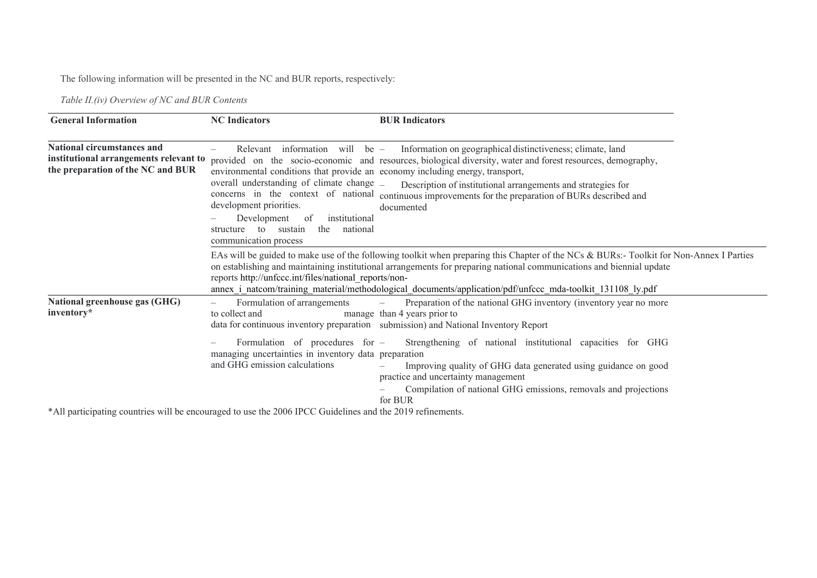The following information will be presented in the NC and BUR reports, respectively:

*Table II.(iv) Overview of NC and BUR Contents*

| <b>General Information</b>                                                                                       | <b>NC</b> Indicators                                                                                                                                                                                                                                                                                                                                 | <b>BUR</b> Indicators                                                                                                                                                                                                                                                                                                                                                         |  |
|------------------------------------------------------------------------------------------------------------------|------------------------------------------------------------------------------------------------------------------------------------------------------------------------------------------------------------------------------------------------------------------------------------------------------------------------------------------------------|-------------------------------------------------------------------------------------------------------------------------------------------------------------------------------------------------------------------------------------------------------------------------------------------------------------------------------------------------------------------------------|--|
| <b>National circumstances and</b><br>institutional arrangements relevant to<br>the preparation of the NC and BUR | information will be $-$<br>Relevant<br>environmental conditions that provide an economy including energy, transport,<br>overall understanding of climate change _<br>concerns in the context of national<br>development priorities.<br>Development<br>institutional<br>-of<br>the<br>national<br>to<br>sustain<br>structure<br>communication process | Information on geographical distinctiveness; climate, land<br>provided on the socio-economic and resources, biological diversity, water and forest resources, demography,<br>Description of institutional arrangements and strategies for<br>continuous improvements for the preparation of BURs described and<br>documented                                                  |  |
|                                                                                                                  | reports http://unfccc.int/files/national reports/non-                                                                                                                                                                                                                                                                                                | EAs will be guided to make use of the following toolkit when preparing this Chapter of the NCs & BURs:- Toolkit for Non-Annex I Parties<br>on establishing and maintaining institutional arrangements for preparing national communications and biennial update<br>annex i_natcom/training_material/methodological_documents/application/pdf/unfccc_mda-toolkit_131108_ly.pdf |  |
| <b>National greenhouse gas (GHG)</b><br>inventory*                                                               | Formulation of arrangements<br>$\qquad \qquad -$<br>to collect and                                                                                                                                                                                                                                                                                   | Preparation of the national GHG inventory (inventory year no more<br>$\overline{\phantom{m}}$<br>manage than 4 years prior to<br>data for continuous inventory preparation submission) and National Inventory Report                                                                                                                                                          |  |
|                                                                                                                  | Formulation of procedures for -<br>managing uncertainties in inventory data preparation<br>and GHG emission calculations                                                                                                                                                                                                                             | Strengthening of national institutional capacities for GHG<br>Improving quality of GHG data generated using guidance on good<br>practice and uncertainty management<br>Compilation of national GHG emissions, removals and projections<br>for BUR                                                                                                                             |  |

\*All participating countries will be encouraged to use the 2006 IPCC Guidelines and the 2019 refinements.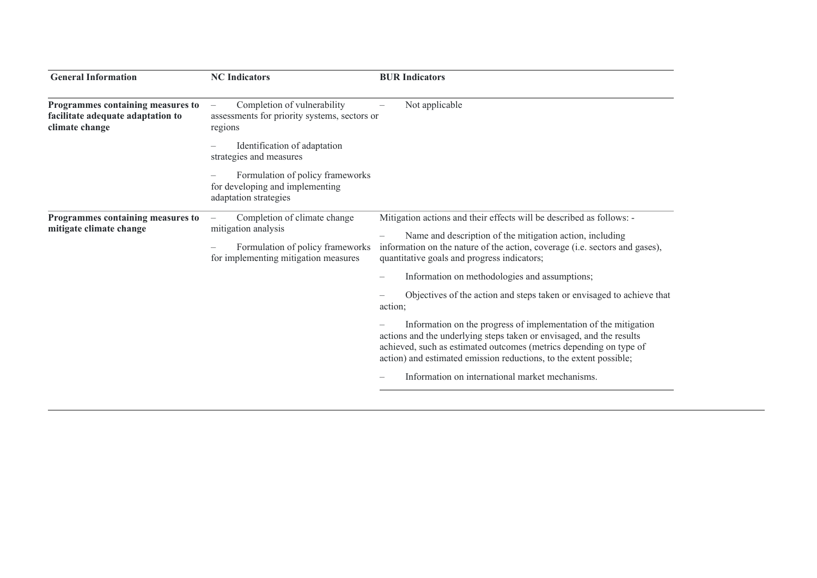| <b>General Information</b>                                                               | <b>NC</b> Indicators                                                                                                            | <b>BUR</b> Indicators                                                                                                                                                                                                                                                               |
|------------------------------------------------------------------------------------------|---------------------------------------------------------------------------------------------------------------------------------|-------------------------------------------------------------------------------------------------------------------------------------------------------------------------------------------------------------------------------------------------------------------------------------|
| Programmes containing measures to<br>facilitate adequate adaptation to<br>climate change | Completion of vulnerability<br>assessments for priority systems, sectors or<br>regions                                          | Not applicable                                                                                                                                                                                                                                                                      |
|                                                                                          | Identification of adaptation<br>strategies and measures                                                                         |                                                                                                                                                                                                                                                                                     |
|                                                                                          | Formulation of policy frameworks<br>for developing and implementing<br>adaptation strategies                                    |                                                                                                                                                                                                                                                                                     |
| Programmes containing measures to<br>mitigate climate change                             | Completion of climate change<br>mitigation analysis<br>Formulation of policy frameworks<br>for implementing mitigation measures | Mitigation actions and their effects will be described as follows: -<br>Name and description of the mitigation action, including<br>information on the nature of the action, coverage (i.e. sectors and gases),<br>quantitative goals and progress indicators;                      |
|                                                                                          |                                                                                                                                 | Information on methodologies and assumptions;                                                                                                                                                                                                                                       |
|                                                                                          |                                                                                                                                 | Objectives of the action and steps taken or envisaged to achieve that<br>action;                                                                                                                                                                                                    |
|                                                                                          |                                                                                                                                 | Information on the progress of implementation of the mitigation<br>actions and the underlying steps taken or envisaged, and the results<br>achieved, such as estimated outcomes (metrics depending on type of<br>action) and estimated emission reductions, to the extent possible; |
|                                                                                          |                                                                                                                                 | Information on international market mechanisms.                                                                                                                                                                                                                                     |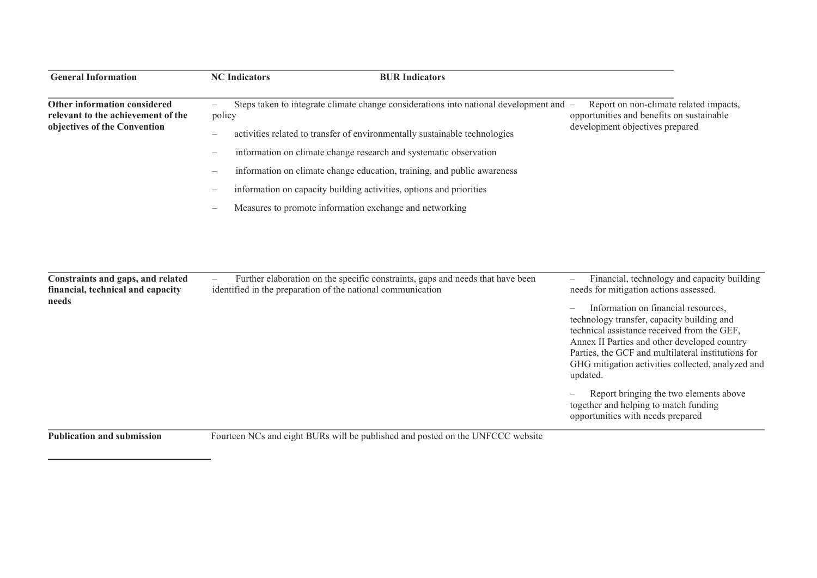| <b>General Information</b>                                                                         | <b>NC</b> Indicators<br><b>BUR Indicators</b>                                                                                                                                                                                                                                                                                                                                                                                                                                                                                                                                    |                                                                                                                                                                                                                                                                                                                                                                                                                                                                                                                          |
|----------------------------------------------------------------------------------------------------|----------------------------------------------------------------------------------------------------------------------------------------------------------------------------------------------------------------------------------------------------------------------------------------------------------------------------------------------------------------------------------------------------------------------------------------------------------------------------------------------------------------------------------------------------------------------------------|--------------------------------------------------------------------------------------------------------------------------------------------------------------------------------------------------------------------------------------------------------------------------------------------------------------------------------------------------------------------------------------------------------------------------------------------------------------------------------------------------------------------------|
| Other information considered<br>relevant to the achievement of the<br>objectives of the Convention | Steps taken to integrate climate change considerations into national development and -<br>$\overline{\phantom{m}}$<br>policy<br>activities related to transfer of environmentally sustainable technologies<br>$\overline{\phantom{m}}$<br>information on climate change research and systematic observation<br>$\overline{\phantom{m}}$<br>information on climate change education, training, and public awareness<br>information on capacity building activities, options and priorities<br>$\overline{\phantom{m}}$<br>Measures to promote information exchange and networking | Report on non-climate related impacts,<br>opportunities and benefits on sustainable<br>development objectives prepared                                                                                                                                                                                                                                                                                                                                                                                                   |
| Constraints and gaps, and related<br>financial, technical and capacity<br>needs                    | Further elaboration on the specific constraints, gaps and needs that have been<br>identified in the preparation of the national communication                                                                                                                                                                                                                                                                                                                                                                                                                                    | Financial, technology and capacity building<br>needs for mitigation actions assessed.<br>Information on financial resources,<br>technology transfer, capacity building and<br>technical assistance received from the GEF,<br>Annex II Parties and other developed country<br>Parties, the GCF and multilateral institutions for<br>GHG mitigation activities collected, analyzed and<br>updated.<br>Report bringing the two elements above<br>together and helping to match funding<br>opportunities with needs prepared |

**Publication and submission**

Fourteen NCs and eight BURs will be published and posted on the UNFCCC website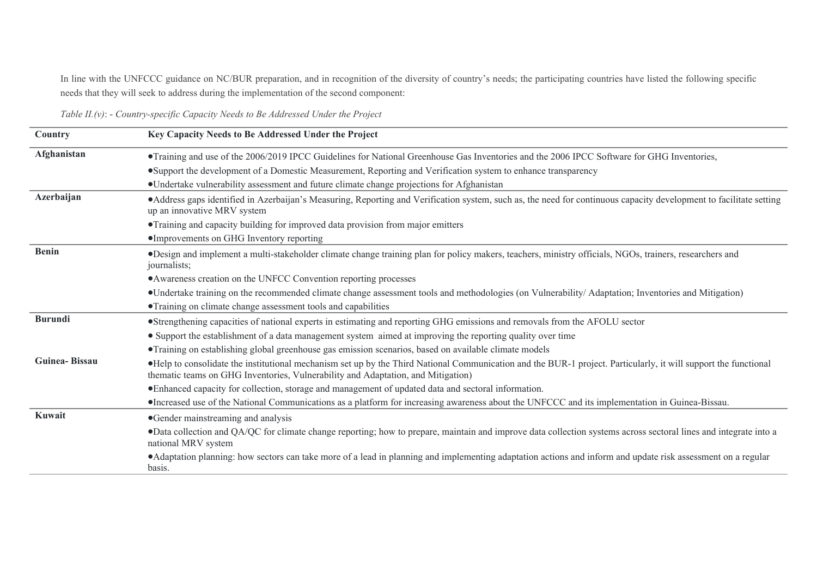In line with the UNFCCC guidance on NC/BUR preparation, and in recognition of the diversity of country's needs; the participating countries have listed the following specific needs that they will seek to address during the implementation of the second component:

|  |  |  |  | Table II.(v): - Country-specific Capacity Needs to Be Addressed Under the Project |
|--|--|--|--|-----------------------------------------------------------------------------------|
|--|--|--|--|-----------------------------------------------------------------------------------|

| Country              | Key Capacity Needs to Be Addressed Under the Project                                                                                                                                                                                                |
|----------------------|-----------------------------------------------------------------------------------------------------------------------------------------------------------------------------------------------------------------------------------------------------|
| Afghanistan          | • Training and use of the 2006/2019 IPCC Guidelines for National Greenhouse Gas Inventories and the 2006 IPCC Software for GHG Inventories,                                                                                                         |
|                      | •Support the development of a Domestic Measurement, Reporting and Verification system to enhance transparency                                                                                                                                       |
|                      | • Undertake vulnerability assessment and future climate change projections for Afghanistan                                                                                                                                                          |
| Azerbaijan           | • Address gaps identified in Azerbaijan's Measuring, Reporting and Verification system, such as, the need for continuous capacity development to facilitate setting<br>up an innovative MRV system                                                  |
|                      | • Training and capacity building for improved data provision from major emitters                                                                                                                                                                    |
|                      | •Improvements on GHG Inventory reporting                                                                                                                                                                                                            |
| <b>Benin</b>         | •Design and implement a multi-stakeholder climate change training plan for policy makers, teachers, ministry officials, NGOs, trainers, researchers and<br>journalists;                                                                             |
|                      | • Awareness creation on the UNFCC Convention reporting processes                                                                                                                                                                                    |
|                      | •Undertake training on the recommended climate change assessment tools and methodologies (on Vulnerability/Adaptation; Inventories and Mitigation)                                                                                                  |
|                      | • Training on climate change assessment tools and capabilities                                                                                                                                                                                      |
| <b>Burundi</b>       | •Strengthening capacities of national experts in estimating and reporting GHG emissions and removals from the AFOLU sector                                                                                                                          |
|                      | • Support the establishment of a data management system aimed at improving the reporting quality over time                                                                                                                                          |
|                      | • Training on establishing global greenhouse gas emission scenarios, based on available climate models                                                                                                                                              |
| <b>Guinea-Bissau</b> | •Help to consolidate the institutional mechanism set up by the Third National Communication and the BUR-1 project. Particularly, it will support the functional<br>thematic teams on GHG Inventories, Vulnerability and Adaptation, and Mitigation) |
|                      | • Enhanced capacity for collection, storage and management of updated data and sectoral information.                                                                                                                                                |
|                      | •Increased use of the National Communications as a platform for increasing awareness about the UNFCCC and its implementation in Guinea-Bissau.                                                                                                      |
| Kuwait               | •Gender mainstreaming and analysis                                                                                                                                                                                                                  |
|                      | •Data collection and QA/QC for climate change reporting; how to prepare, maintain and improve data collection systems across sectoral lines and integrate into a<br>national MRV system                                                             |
|                      | • Adaptation planning: how sectors can take more of a lead in planning and implementing adaptation actions and inform and update risk assessment on a regular<br>basis.                                                                             |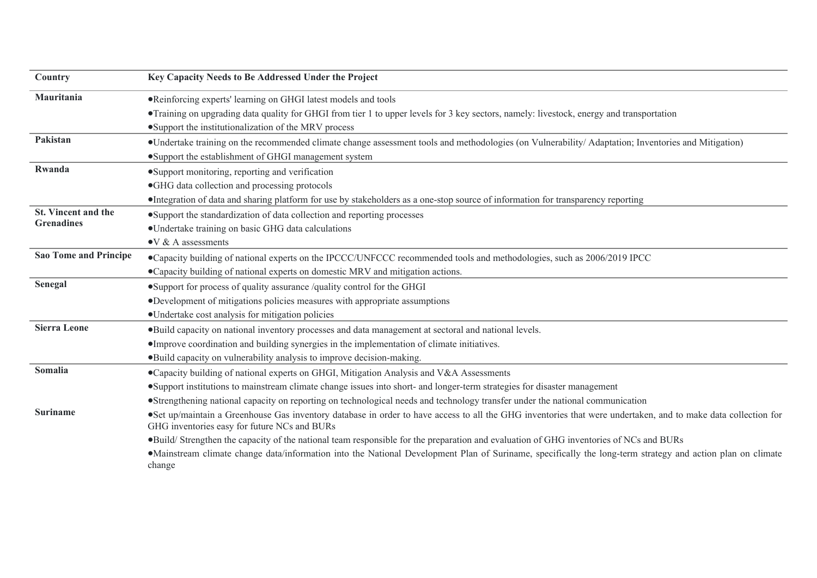| Country                      | Key Capacity Needs to Be Addressed Under the Project                                                                                                                                                          |
|------------------------------|---------------------------------------------------------------------------------------------------------------------------------------------------------------------------------------------------------------|
| Mauritania                   | •Reinforcing experts' learning on GHGI latest models and tools                                                                                                                                                |
|                              | • Training on upgrading data quality for GHGI from tier 1 to upper levels for 3 key sectors, namely: livestock, energy and transportation                                                                     |
|                              | •Support the institutionalization of the MRV process                                                                                                                                                          |
| Pakistan                     | •Undertake training on the recommended climate change assessment tools and methodologies (on Vulnerability/Adaptation; Inventories and Mitigation)                                                            |
|                              | •Support the establishment of GHGI management system                                                                                                                                                          |
| Rwanda                       | • Support monitoring, reporting and verification                                                                                                                                                              |
|                              | •GHG data collection and processing protocols                                                                                                                                                                 |
|                              | ·Integration of data and sharing platform for use by stakeholders as a one-stop source of information for transparency reporting                                                                              |
| St. Vincent and the          | •Support the standardization of data collection and reporting processes                                                                                                                                       |
| <b>Grenadines</b>            | •Undertake training on basic GHG data calculations                                                                                                                                                            |
|                              | $\bullet$ V & A assessments                                                                                                                                                                                   |
| <b>Sao Tome and Principe</b> | •Capacity building of national experts on the IPCCC/UNFCCC recommended tools and methodologies, such as 2006/2019 IPCC                                                                                        |
|                              | • Capacity building of national experts on domestic MRV and mitigation actions.                                                                                                                               |
| Senegal                      | •Support for process of quality assurance /quality control for the GHGI                                                                                                                                       |
|                              | •Development of mitigations policies measures with appropriate assumptions                                                                                                                                    |
|                              | •Undertake cost analysis for mitigation policies                                                                                                                                                              |
| <b>Sierra Leone</b>          | •Build capacity on national inventory processes and data management at sectoral and national levels.                                                                                                          |
|                              | ·Improve coordination and building synergies in the implementation of climate initiatives.                                                                                                                    |
|                              | • Build capacity on vulnerability analysis to improve decision-making.                                                                                                                                        |
| Somalia                      | • Capacity building of national experts on GHGI, Mitigation Analysis and V&A Assessments                                                                                                                      |
|                              | •Support institutions to mainstream climate change issues into short- and longer-term strategies for disaster management                                                                                      |
|                              | •Strengthening national capacity on reporting on technological needs and technology transfer under the national communication                                                                                 |
| <b>Suriname</b>              | •Set up/maintain a Greenhouse Gas inventory database in order to have access to all the GHG inventories that were undertaken, and to make data collection for<br>GHG inventories easy for future NCs and BURs |
|                              | •Build/Strengthen the capacity of the national team responsible for the preparation and evaluation of GHG inventories of NCs and BURs                                                                         |
|                              | •Mainstream climate change data/information into the National Development Plan of Suriname, specifically the long-term strategy and action plan on climate<br>change                                          |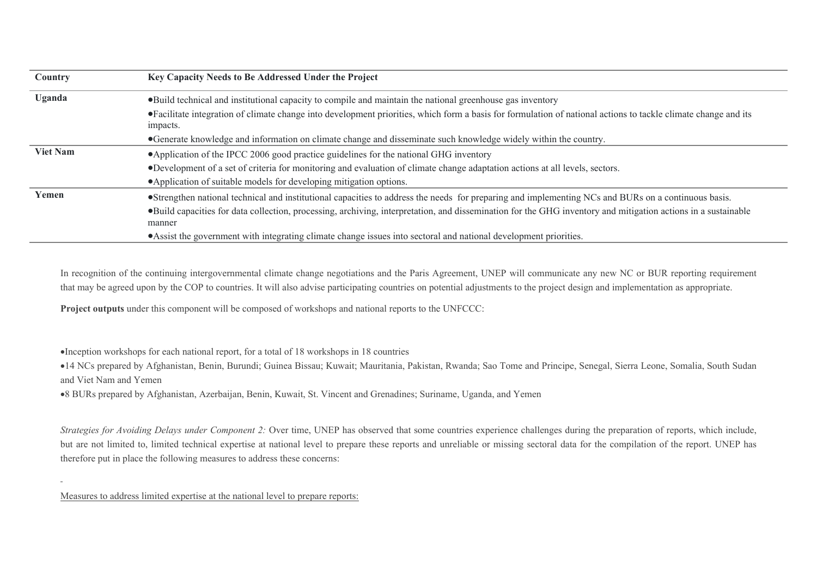| Country         | Key Capacity Needs to Be Addressed Under the Project                                                                                                                        |  |  |  |
|-----------------|-----------------------------------------------------------------------------------------------------------------------------------------------------------------------------|--|--|--|
| Uganda          | • Build technical and institutional capacity to compile and maintain the national greenhouse gas inventory                                                                  |  |  |  |
|                 | • Facilitate integration of climate change into development priorities, which form a basis for formulation of national actions to tackle climate change and its<br>impacts. |  |  |  |
|                 | •Generate knowledge and information on climate change and disseminate such knowledge widely within the country.                                                             |  |  |  |
| <b>Viet Nam</b> | • Application of the IPCC 2006 good practice guidelines for the national GHG inventory                                                                                      |  |  |  |
|                 | •Development of a set of criteria for monitoring and evaluation of climate change adaptation actions at all levels, sectors.                                                |  |  |  |
|                 | • Application of suitable models for developing mitigation options.                                                                                                         |  |  |  |
| Yemen           | •Strengthen national technical and institutional capacities to address the needs for preparing and implementing NCs and BURs on a continuous basis.                         |  |  |  |
|                 | •Build capacities for data collection, processing, archiving, interpretation, and dissemination for the GHG inventory and mitigation actions in a sustainable<br>manner     |  |  |  |
|                 | • Assist the government with integrating climate change issues into sectoral and national development priorities.                                                           |  |  |  |

In recognition of the continuing intergovernmental climate change negotiations and the Paris Agreement, UNEP will communicate any new NC or BUR reporting requirement that may be agreed upon by the COP to countries. It will also advise participating countries on potential adjustments to the project design and implementation as appropriate.

**Project outputs** under this component will be composed of workshops and national reports to the UNFCCC:

Inception workshops for each national report, for a total of 18 workshops in 18 countries

14 NCs prepared by Afghanistan, Benin, Burundi; Guinea Bissau; Kuwait; Mauritania, Pakistan, Rwanda; Sao Tome and Principe, Senegal, Sierra Leone, Somalia, South Sudan and Viet Nam and Yemen

8 BURs prepared by Afghanistan, Azerbaijan, Benin, Kuwait, St. Vincent and Grenadines; Suriname, Uganda, and Yemen

*Strategies for Avoiding Delays under Component 2:* Over time, UNEP has observed that some countries experience challenges during the preparation of reports, which include, but are not limited to, limited technical expertise at national level to prepare these reports and unreliable or missing sectoral data for the compilation of the report. UNEP has therefore put in place the following measures to address these concerns:

Measures to address limited expertise at the national level to prepare reports: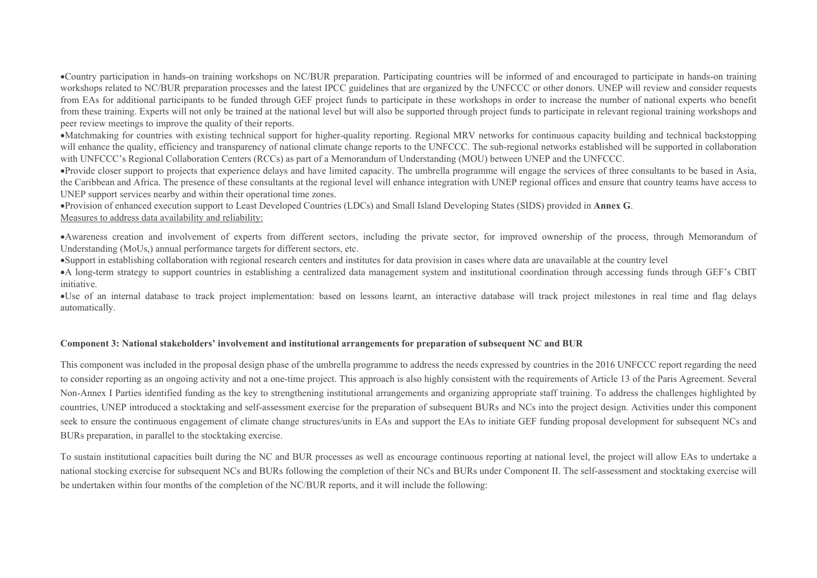Country participation in hands-on training workshops on NC/BUR preparation. Participating countries will be informed of and encouraged to participate in hands-on training workshops related to NC/BUR preparation processes and the latest IPCC guidelines that are organized by the UNFCCC or other donors. UNEP will review and consider requests from EAs for additional participants to be funded through GEF project funds to participate in these workshops in order to increase the number of national experts who benefit from these training. Experts will not only be trained at the national level but will also be supported through project funds to participate in relevant regional training workshops and peer review meetings to improve the quality of their reports.

Matchmaking for countries with existing technical support for higher-quality reporting. Regional MRV networks for continuous capacity building and technical backstopping will enhance the quality, efficiency and transparency of national climate change reports to the UNFCCC. The sub-regional networks established will be supported in collaboration with UNFCCC's Regional Collaboration Centers (RCCs) as part of a Memorandum of Understanding (MOU) between UNEP and the UNFCCC.

Provide closer support to projects that experience delays and have limited capacity. The umbrella programme will engage the services of three consultants to be based in Asia, the Caribbean and Africa. The presence of these consultants at the regional level will enhance integration with UNEP regional offices and ensure that country teams have access to UNEP support services nearby and within their operational time zones.

Provision of enhanced execution support to Least Developed Countries (LDCs) and Small Island Developing States (SIDS) provided in **Annex G**.

#### Measures to address data availability and reliability:

Awareness creation and involvement of experts from different sectors, including the private sector, for improved ownership of the process, through Memorandum of Understanding (MoUs,) annual performance targets for different sectors, etc.

Support in establishing collaboration with regional research centers and institutes for data provision in cases where data are unavailable at the country level

A long-term strategy to support countries in establishing a centralized data management system and institutional coordination through accessing funds through GEF's CBIT initiative.

Use of an internal database to track project implementation: based on lessons learnt, an interactive database will track project milestones in real time and flag delays automatically.

## **Component 3: National stakeholders' involvement and institutional arrangements for preparation of subsequent NC and BUR**

This component was included in the proposal design phase of the umbrella programme to address the needs expressed by countries in the 2016 UNFCCC report regarding the need to consider reporting as an ongoing activity and not a one-time project. This approach is also highly consistent with the requirements of Article 13 of the Paris Agreement. Several Non-Annex I Parties identified funding as the key to strengthening institutional arrangements and organizing appropriate staff training. To address the challenges highlighted by countries, UNEP introduced a stocktaking and self-assessment exercise for the preparation of subsequent BURs and NCs into the project design. Activities under this component seek to ensure the continuous engagement of climate change structures/units in EAs and support the EAs to initiate GEF funding proposal development for subsequent NCs and BURs preparation, in parallel to the stocktaking exercise.

To sustain institutional capacities built during the NC and BUR processes as well as encourage continuous reporting at national level, the project will allow EAs to undertake a national stocking exercise for subsequent NCs and BURs following the completion of their NCs and BURs under Component II. The self-assessment and stocktaking exercise will be undertaken within four months of the completion of the NC/BUR reports, and it will include the following: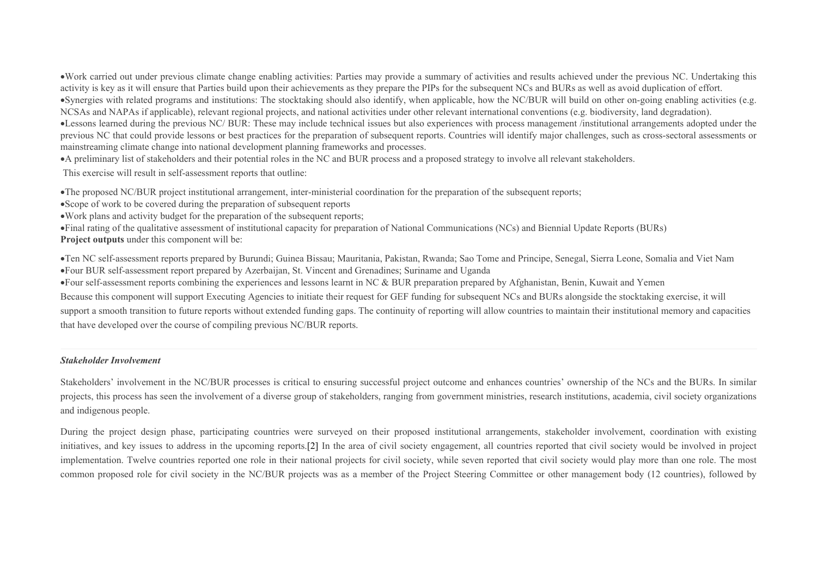Work carried out under previous climate change enabling activities: Parties may provide a summary of activities and results achieved under the previous NC. Undertaking this activity is key as it will ensure that Parties build upon their achievements as they prepare the PIPs for the subsequent NCs and BURs as well as avoid duplication of effort.

Synergies with related programs and institutions: The stocktaking should also identify, when applicable, how the NC/BUR will build on other on-going enabling activities (e.g. NCSAs and NAPAs if applicable), relevant regional projects, and national activities under other relevant international conventions (e.g. biodiversity, land degradation).

•Lessons learned during the previous NC/ BUR: These may include technical issues but also experiences with process management /institutional arrangements adopted under the previous NC that could provide lessons or best practices for the preparation of subsequent reports. Countries will identify major challenges, such as cross-sectoral assessments or mainstreaming climate change into national development planning frameworks and processes.

A preliminary list of stakeholders and their potential roles in the NC and BUR process and a proposed strategy to involve all relevant stakeholders.

This exercise will result in self-assessment reports that outline:

The proposed NC/BUR project institutional arrangement, inter-ministerial coordination for the preparation of the subsequent reports;

Scope of work to be covered during the preparation of subsequent reports

Work plans and activity budget for the preparation of the subsequent reports;

Final rating of the qualitative assessment of institutional capacity for preparation of National Communications (NCs) and Biennial Update Reports (BURs) **Project outputs** under this component will be:

Ten NC self-assessment reports prepared by Burundi; Guinea Bissau; Mauritania, Pakistan, Rwanda; Sao Tome and Principe, Senegal, Sierra Leone, Somalia and Viet Nam Four BUR self-assessment report prepared by Azerbaijan, St. Vincent and Grenadines; Suriname and Uganda

Four self-assessment reports combining the experiences and lessons learnt in NC & BUR preparation prepared by Afghanistan, Benin, Kuwait and Yemen

Because this component will support Executing Agencies to initiate their request for GEF funding for subsequent NCs and BURs alongside the stocktaking exercise, it will

support a smooth transition to future reports without extended funding gaps. The continuity of reporting will allow countries to maintain their institutional memory and capacities that have developed over the course of compiling previous NC/BUR reports.

## *Stakeholder Involvement*

Stakeholders' involvement in the NC/BUR processes is critical to ensuring successful project outcome and enhances countries' ownership of the NCs and the BURs. In similar projects, this process has seen the involvement of a diverse group of stakeholders, ranging from government ministries, research institutions, academia, civil society organizations and indigenous people.

During the project design phase, participating countries were surveyed on their proposed institutional arrangements, stakeholder involvement, coordination with existing initiatives, and key issues to address in the upcoming reports[.\[2\]](file:///C:/9th%20Umbrella/Submission%20to%20the%20GEF_2020/SLegro_%20Reviewed/10167%20GEF%207%20Enabling%20Activity_02-17-2020%20CLEAN.doc#_ftn2) In the area of civil society engagement, all countries reported that civil society would be involved in project implementation. Twelve countries reported one role in their national projects for civil society, while seven reported that civil society would play more than one role. The most common proposed role for civil society in the NC/BUR projects was as a member of the Project Steering Committee or other management body (12 countries), followed by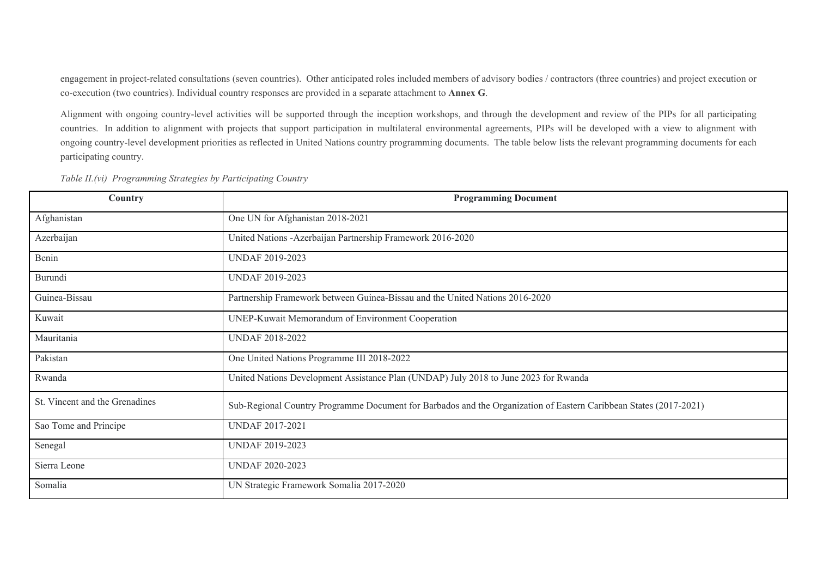engagement in project-related consultations (seven countries). Other anticipated roles included members of advisory bodies / contractors (three countries) and project execution or co-execution (two countries). Individual country responses are provided in a separate attachment to **Annex G**.

Alignment with ongoing country-level activities will be supported through the inception workshops, and through the development and review of the PIPs for all participating countries. In addition to alignment with projects that support participation in multilateral environmental agreements, PIPs will be developed with a view to alignment with ongoing country-level development priorities as reflected in United Nations country programming documents. The table below lists the relevant programming documents for each participating country.

| Country                        | <b>Programming Document</b>                                                                                       |
|--------------------------------|-------------------------------------------------------------------------------------------------------------------|
| Afghanistan                    | One UN for Afghanistan 2018-2021                                                                                  |
| Azerbaijan                     | United Nations -Azerbaijan Partnership Framework 2016-2020                                                        |
| Benin                          | <b>UNDAF 2019-2023</b>                                                                                            |
| Burundi                        | <b>UNDAF 2019-2023</b>                                                                                            |
| Guinea-Bissau                  | Partnership Framework between Guinea-Bissau and the United Nations 2016-2020                                      |
| Kuwait                         | UNEP-Kuwait Memorandum of Environment Cooperation                                                                 |
| Mauritania                     | <b>UNDAF 2018-2022</b>                                                                                            |
| Pakistan                       | One United Nations Programme III 2018-2022                                                                        |
| Rwanda                         | United Nations Development Assistance Plan (UNDAP) July 2018 to June 2023 for Rwanda                              |
| St. Vincent and the Grenadines | Sub-Regional Country Programme Document for Barbados and the Organization of Eastern Caribbean States (2017-2021) |
| Sao Tome and Principe          | <b>UNDAF 2017-2021</b>                                                                                            |
| Senegal                        | <b>UNDAF 2019-2023</b>                                                                                            |
| Sierra Leone                   | <b>UNDAF 2020-2023</b>                                                                                            |
| Somalia                        | UN Strategic Framework Somalia 2017-2020                                                                          |

*Table II.(vi) Programming Strategies by Participating Country*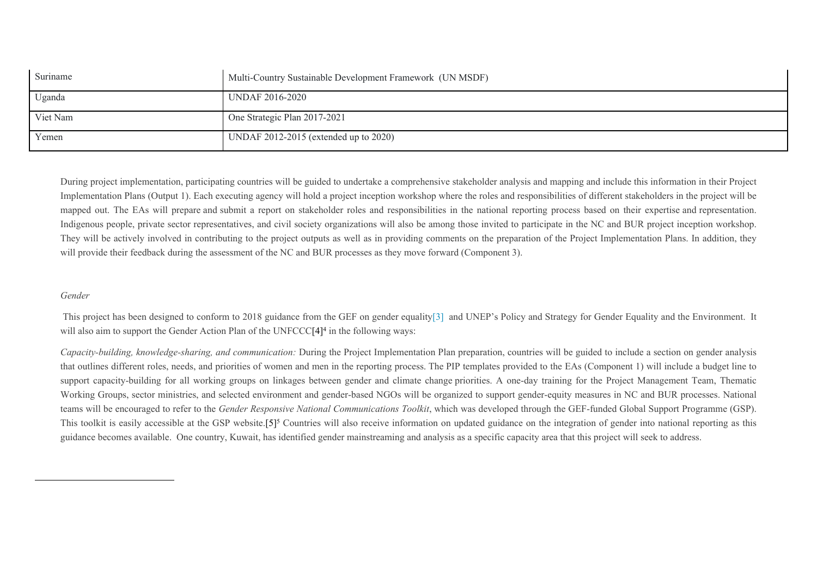| Suriname | Multi-Country Sustainable Development Framework (UN MSDF) |
|----------|-----------------------------------------------------------|
| Uganda   | UNDAF 2016-2020                                           |
| Viet Nam | One Strategic Plan 2017-2021                              |
| Yemen    | UNDAF $2012-2015$ (extended up to $2020$ )                |

During project implementation, participating countries will be guided to undertake a comprehensive stakeholder analysis and mapping and include this information in their Project Implementation Plans (Output 1). Each executing agency will hold a project inception workshop where the roles and responsibilities of different stakeholders in the project will be mapped out. The EAs will prepare and submit a report on stakeholder roles and responsibilities in the national reporting process based on their expertise and representation. Indigenous people, private sector representatives, and civil society organizations will also be among those invited to participate in the NC and BUR project inception workshop. They will be actively involved in contributing to the project outputs as well as in providing comments on the preparation of the Project Implementation Plans. In addition, they will provide their feedback during the assessment of the NC and BUR processes as they move forward (Component 3).

## *Gender*

This project has been designed to conform to 2018 guidance from the GEF on gender equality[\[3\]](file:///C:/9th%20Umbrella/Submission%20to%20the%20GEF_2020/SLegro_%20Reviewed/10167%20GEF%207%20Enabling%20Activity_02-17-2020%20CLEAN.doc#_ftn3) and UNEP's Policy and Strategy for Gender Equality and the Environment. It will also aim to support the Gender Action Plan of the UNFCCC $[4]^4$  in the following ways:

*Capacity-building, knowledge-sharing, and communication:* During the Project Implementation Plan preparation, countries will be guided to include a section on gender analysis that outlines different roles, needs, and priorities of women and men in the reporting process. The PIP templates provided to the EAs (Component 1) will include a budget line to support capacity-building for all working groups on linkages between gender and climate change priorities. A one-day training for the Project Management Team, Thematic Working Groups, sector ministries, and selected environment and gender-based NGOs will be organized to support gender-equity measures in NC and BUR processes. National teams will be encouraged to refer to the *Gender Responsive National Communications Toolkit*, which was developed through the GEF-funded Global Support Programme (GSP). This toolkit is easily accessible at the GSP website.[5]<sup>5</sup> Countries will also receive information on updated guidance on the integration of gender into national reporting as this guidance becomes available. One country, Kuwait, has identified gender mainstreaming and analysis as a specific capacity area that this project will seek to address.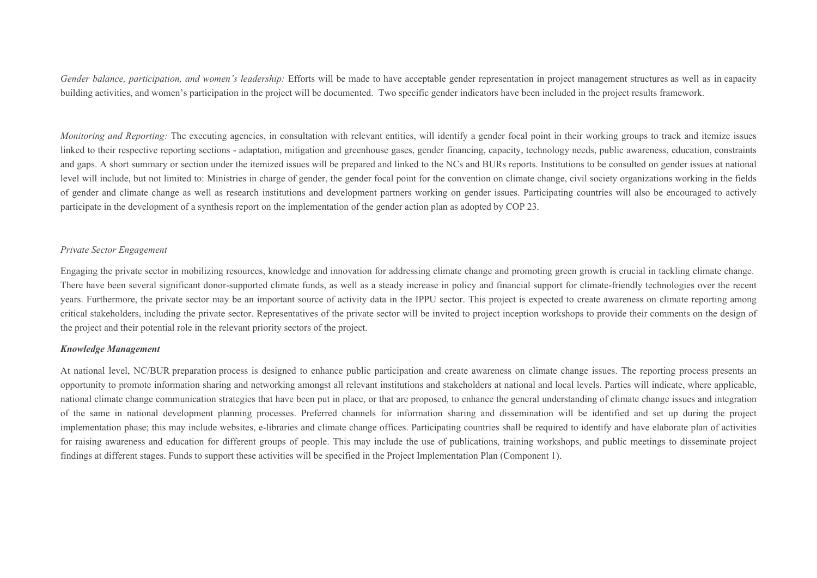*Gender balance, participation, and women's leadership:* Efforts will be made to have acceptable gender representation in project management structures as well as in capacity building activities, and women's participation in the project will be documented. Two specific gender indicators have been included in the project results framework.

*Monitoring and Reporting:* The executing agencies, in consultation with relevant entities, will identify a gender focal point in their working groups to track and itemize issues linked to their respective reporting sections - adaptation, mitigation and greenhouse gases, gender financing, capacity, technology needs, public awareness, education, constraints and gaps. A short summary or section under the itemized issues will be prepared and linked to the NCs and BURs reports. Institutions to be consulted on gender issues at national level will include, but not limited to: Ministries in charge of gender, the gender focal point for the convention on climate change, civil society organizations working in the fields of gender and climate change as well as research institutions and development partners working on gender issues. Participating countries will also be encouraged to actively participate in the development of a synthesis report on the implementation of the gender action plan as adopted by COP 23.

#### *Private Sector Engagement*

Engaging the private sector in mobilizing resources, knowledge and innovation for addressing climate change and promoting green growth is crucial in tackling climate change. There have been several significant donor-supported climate funds, as well as a steady increase in policy and financial support for climate-friendly technologies over the recent years. Furthermore, the private sector may be an important source of activity data in the IPPU sector. This project is expected to create awareness on climate reporting among critical stakeholders, including the private sector. Representatives of the private sector will be invited to project inception workshops to provide their comments on the design of the project and their potential role in the relevant priority sectors of the project.

#### *Knowledge Management*

At national level, NC/BUR preparation process is designed to enhance public participation and create awareness on climate change issues. The reporting process presents an opportunity to promote information sharing and networking amongst all relevant institutions and stakeholders at national and local levels. Parties will indicate, where applicable, national climate change communication strategies that have been put in place, or that are proposed, to enhance the general understanding of climate change issues and integration of the same in national development planning processes. Preferred channels for information sharing and dissemination will be identified and set up during the project implementation phase; this may include websites, e-libraries and climate change offices. Participating countries shall be required to identify and have elaborate plan of activities for raising awareness and education for different groups of people. This may include the use of publications, training workshops, and public meetings to disseminate project findings at different stages. Funds to support these activities will be specified in the Project Implementation Plan (Component 1).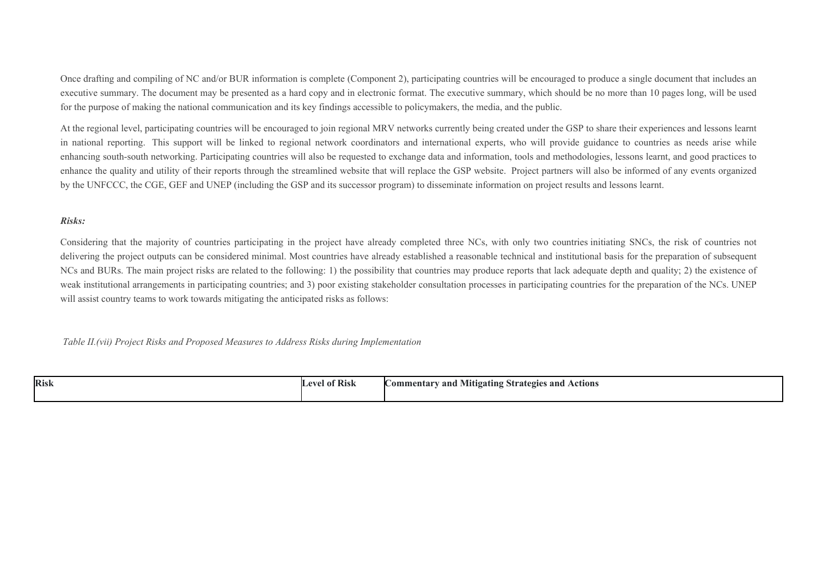Once drafting and compiling of NC and/or BUR information is complete (Component 2), participating countries will be encouraged to produce a single document that includes an executive summary. The document may be presented as a hard copy and in electronic format. The executive summary, which should be no more than 10 pages long, will be used for the purpose of making the national communication and its key findings accessible to policymakers, the media, and the public.

At the regional level, participating countries will be encouraged to join regional MRV networks currently being created under the GSP to share their experiences and lessons learnt in national reporting. This support will be linked to regional network coordinators and international experts, who will provide guidance to countries as needs arise while enhancing south-south networking. Participating countries will also be requested to exchange data and information, tools and methodologies, lessons learnt, and good practices to enhance the quality and utility of their reports through the streamlined website that will replace the GSP website. Project partners will also be informed of any events organized by the UNFCCC, the CGE, GEF and UNEP (including the GSP and its successor program) to disseminate information on project results and lessons learnt.

#### *Risks:*

Considering that the majority of countries participating in the project have already completed three NCs, with only two countries initiating SNCs, the risk of countries not delivering the project outputs can be considered minimal. Most countries have already established a reasonable technical and institutional basis for the preparation of subsequent NCs and BURs. The main project risks are related to the following: 1) the possibility that countries may produce reports that lack adequate depth and quality; 2) the existence of weak institutional arrangements in participating countries; and 3) poor existing stakeholder consultation processes in participating countries for the preparation of the NCs. UNEP will assist country teams to work towards mitigating the anticipated risks as follows:

 *Table II.(vii) Project Risks and Proposed Measures to Address Risks during Implementation*

| Risk | 0.73<br>el of Risk | Actions<br>and<br><b>Commentary</b><br>and '<br><b>Mitigating Strategies</b><br>$\overline{ }$ |
|------|--------------------|------------------------------------------------------------------------------------------------|
|------|--------------------|------------------------------------------------------------------------------------------------|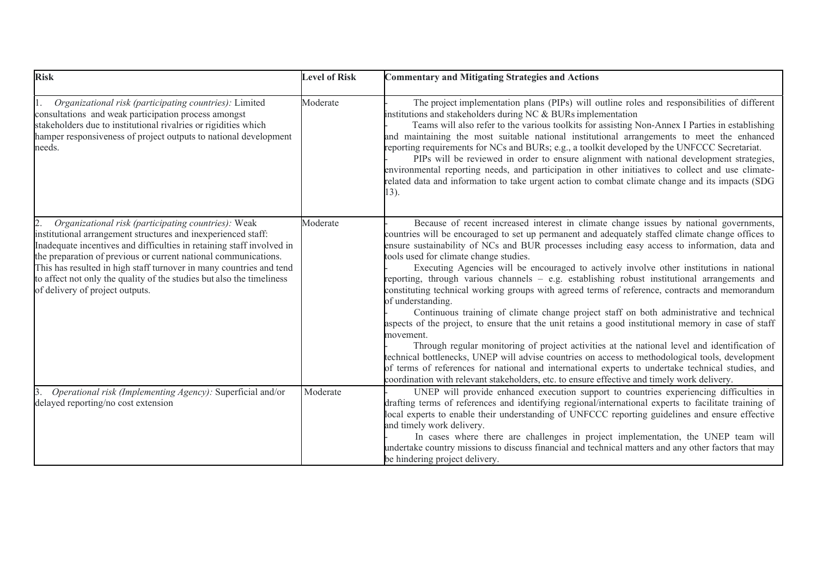| <b>Risk</b>                                                                                                                                                                                                                                                                                                                                                                                                                                                | <b>Level of Risk</b> | <b>Commentary and Mitigating Strategies and Actions</b>                                                                                                                                                                                                                                                                                                                                                                                                                                                                                                                                                                                                                                                                                                                                                                                                                                                                                                                                                                                                                                                                                                                                                                                                                             |
|------------------------------------------------------------------------------------------------------------------------------------------------------------------------------------------------------------------------------------------------------------------------------------------------------------------------------------------------------------------------------------------------------------------------------------------------------------|----------------------|-------------------------------------------------------------------------------------------------------------------------------------------------------------------------------------------------------------------------------------------------------------------------------------------------------------------------------------------------------------------------------------------------------------------------------------------------------------------------------------------------------------------------------------------------------------------------------------------------------------------------------------------------------------------------------------------------------------------------------------------------------------------------------------------------------------------------------------------------------------------------------------------------------------------------------------------------------------------------------------------------------------------------------------------------------------------------------------------------------------------------------------------------------------------------------------------------------------------------------------------------------------------------------------|
| Organizational risk (participating countries): Limited<br>consultations and weak participation process amongst<br>stakeholders due to institutional rivalries or rigidities which<br>hamper responsiveness of project outputs to national development<br>needs.                                                                                                                                                                                            | Moderate             | The project implementation plans (PIPs) will outline roles and responsibilities of different<br>institutions and stakeholders during NC & BURs implementation<br>Teams will also refer to the various toolkits for assisting Non-Annex I Parties in establishing<br>and maintaining the most suitable national institutional arrangements to meet the enhanced<br>reporting requirements for NCs and BURs; e.g., a toolkit developed by the UNFCCC Secretariat.<br>PIPs will be reviewed in order to ensure alignment with national development strategies,<br>environmental reporting needs, and participation in other initiatives to collect and use climate-<br>related data and information to take urgent action to combat climate change and its impacts (SDG<br>13).                                                                                                                                                                                                                                                                                                                                                                                                                                                                                                        |
| Organizational risk (participating countries): Weak<br>12.<br>institutional arrangement structures and inexperienced staff:<br>Inadequate incentives and difficulties in retaining staff involved in<br>the preparation of previous or current national communications.<br>This has resulted in high staff turnover in many countries and tend<br>to affect not only the quality of the studies but also the timeliness<br>of delivery of project outputs. | Moderate             | Because of recent increased interest in climate change issues by national governments,<br>countries will be encouraged to set up permanent and adequately staffed climate change offices to<br>ensure sustainability of NCs and BUR processes including easy access to information, data and<br>tools used for climate change studies.<br>Executing Agencies will be encouraged to actively involve other institutions in national<br>reporting, through various channels – e.g. establishing robust institutional arrangements and<br>constituting technical working groups with agreed terms of reference, contracts and memorandum<br>of understanding.<br>Continuous training of climate change project staff on both administrative and technical<br>aspects of the project, to ensure that the unit retains a good institutional memory in case of staff<br>movement.<br>Through regular monitoring of project activities at the national level and identification of<br>technical bottlenecks, UNEP will advise countries on access to methodological tools, development<br>of terms of references for national and international experts to undertake technical studies, and<br>coordination with relevant stakeholders, etc. to ensure effective and timely work delivery. |
| Operational risk (Implementing Agency): Superficial and/or<br>delayed reporting/no cost extension                                                                                                                                                                                                                                                                                                                                                          | Moderate             | UNEP will provide enhanced execution support to countries experiencing difficulties in<br>drafting terms of references and identifying regional/international experts to facilitate training of<br>local experts to enable their understanding of UNFCCC reporting guidelines and ensure effective<br>and timely work delivery.<br>In cases where there are challenges in project implementation, the UNEP team will<br>undertake country missions to discuss financial and technical matters and any other factors that may<br>be hindering project delivery.                                                                                                                                                                                                                                                                                                                                                                                                                                                                                                                                                                                                                                                                                                                      |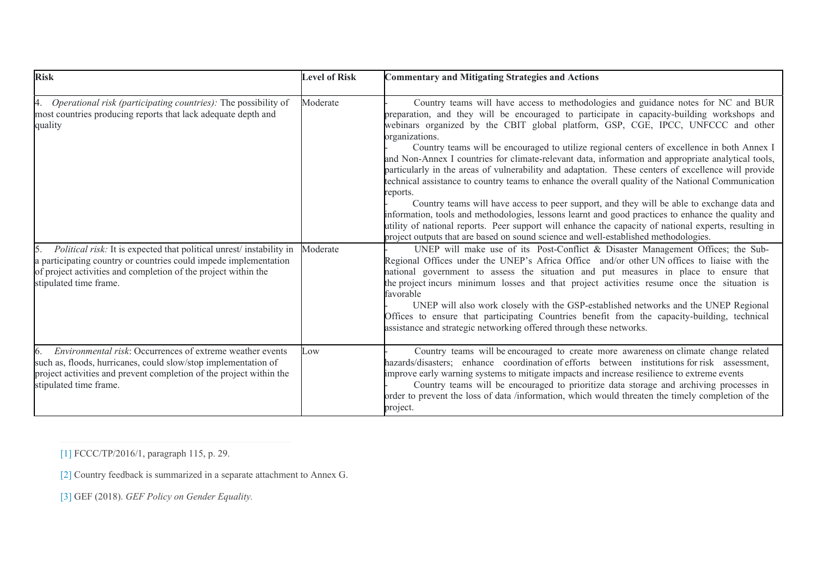| <b>Risk</b>                                                                                                                                                                                                                         | <b>Level of Risk</b> | <b>Commentary and Mitigating Strategies and Actions</b>                                                                                                                                                                                                                                                                                                                                                                                                                                                                                                                                                                                                                                                                                                                                                                                                                                                                                                                                                                                                                                                                |
|-------------------------------------------------------------------------------------------------------------------------------------------------------------------------------------------------------------------------------------|----------------------|------------------------------------------------------------------------------------------------------------------------------------------------------------------------------------------------------------------------------------------------------------------------------------------------------------------------------------------------------------------------------------------------------------------------------------------------------------------------------------------------------------------------------------------------------------------------------------------------------------------------------------------------------------------------------------------------------------------------------------------------------------------------------------------------------------------------------------------------------------------------------------------------------------------------------------------------------------------------------------------------------------------------------------------------------------------------------------------------------------------------|
| <i>Operational risk (participating countries):</i> The possibility of<br>4.<br>most countries producing reports that lack adequate depth and<br>quality                                                                             | Moderate             | Country teams will have access to methodologies and guidance notes for NC and BUR<br>preparation, and they will be encouraged to participate in capacity-building workshops and<br>webinars organized by the CBIT global platform, GSP, CGE, IPCC, UNFCCC and other<br>organizations.<br>Country teams will be encouraged to utilize regional centers of excellence in both Annex I<br>and Non-Annex I countries for climate-relevant data, information and appropriate analytical tools,<br>particularly in the areas of vulnerability and adaptation. These centers of excellence will provide<br>technical assistance to country teams to enhance the overall quality of the National Communication<br>reports.<br>Country teams will have access to peer support, and they will be able to exchange data and<br>information, tools and methodologies, lessons learnt and good practices to enhance the quality and<br>utility of national reports. Peer support will enhance the capacity of national experts, resulting in<br>project outputs that are based on sound science and well-established methodologies. |
| Political risk: It is expected that political unrest/instability in<br>a participating country or countries could impede implementation<br>of project activities and completion of the project within the<br>stipulated time frame. | Moderate             | UNEP will make use of its Post-Conflict & Disaster Management Offices; the Sub-<br>Regional Offices under the UNEP's Africa Office and/or other UN offices to liaise with the<br>national government to assess the situation and put measures in place to ensure that<br>the project incurs minimum losses and that project activities resume once the situation is<br>favorable<br>UNEP will also work closely with the GSP-established networks and the UNEP Regional<br>Offices to ensure that participating Countries benefit from the capacity-building, technical<br>assistance and strategic networking offered through these networks.                                                                                                                                                                                                                                                                                                                                                                                                                                                                         |
| Environmental risk: Occurrences of extreme weather events<br>6.<br>such as, floods, hurricanes, could slow/stop implementation of<br>project activities and prevent completion of the project within the<br>stipulated time frame.  | Low                  | Country teams will be encouraged to create more awareness on climate change related<br>hazards/disasters; enhance coordination of efforts between institutions for risk assessment,<br>improve early warning systems to mitigate impacts and increase resilience to extreme events<br>Country teams will be encouraged to prioritize data storage and archiving processes in<br>order to prevent the loss of data /information, which would threaten the timely completion of the<br>project.                                                                                                                                                                                                                                                                                                                                                                                                                                                                                                                                                                                                                          |

[\[1\]](file:///C:/9th%20Umbrella/Submission%20to%20the%20GEF_2020/SLegro_%20Reviewed/10167%20GEF%207%20Enabling%20Activity_02-17-2020%20CLEAN.doc#_ftnref1) FCCC/TP/2016/1, paragraph 115, p. 29.

[\[2\]](file:///C:/9th%20Umbrella/Submission%20to%20the%20GEF_2020/SLegro_%20Reviewed/10167%20GEF%207%20Enabling%20Activity_02-17-2020%20CLEAN.doc#_ftnref2) Country feedback is summarized in a separate attachment to Annex G.

[\[3\]](file:///C:/9th%20Umbrella/Submission%20to%20the%20GEF_2020/SLegro_%20Reviewed/10167%20GEF%207%20Enabling%20Activity_02-17-2020%20CLEAN.doc#_ftnref3) GEF (2018). *GEF Policy on Gender Equality.*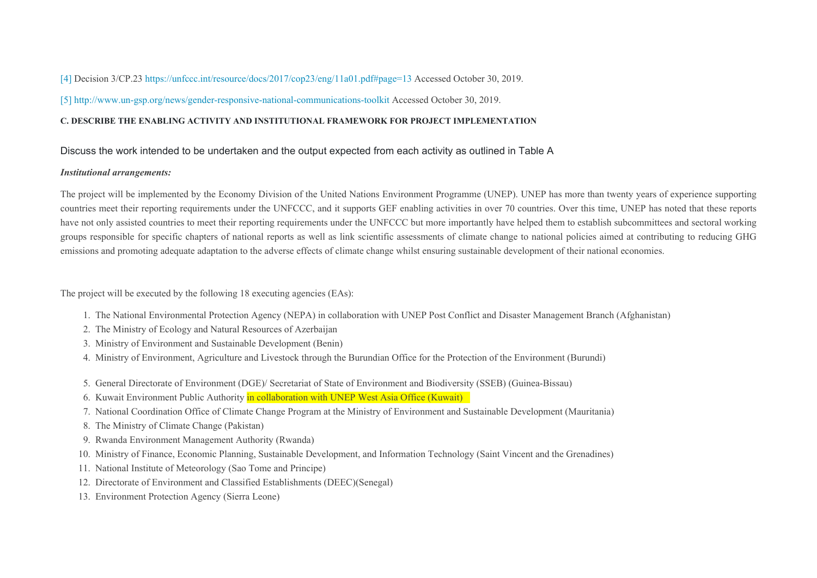[\[4\]](file:///C:/9th%20Umbrella/Submission%20to%20the%20GEF_2020/SLegro_%20Reviewed/10167%20GEF%207%20Enabling%20Activity_02-17-2020%20CLEAN.doc#_ftnref4) Decision 3/CP.23<https://unfccc.int/resource/docs/2017/cop23/eng/11a01.pdf#page=13> Accessed October 30, 2019.

[\[5\]](file:///C:/9th%20Umbrella/Submission%20to%20the%20GEF_2020/SLegro_%20Reviewed/10167%20GEF%207%20Enabling%20Activity_02-17-2020%20CLEAN.doc#_ftnref5) <http://www.un-gsp.org/news/gender-responsive-national-communications-toolkit> Accessed October 30, 2019.

## **C. DESCRIBE THE ENABLING ACTIVITY AND INSTITUTIONAL FRAMEWORK FOR PROJECT IMPLEMENTATION**

## Discuss the work intended to be undertaken and the output expected from each activity as outlined in Table A

#### *Institutional arrangements:*

The project will be implemented by the Economy Division of the United Nations Environment Programme (UNEP). UNEP has more than twenty years of experience supporting countries meet their reporting requirements under the UNFCCC, and it supports GEF enabling activities in over 70 countries. Over this time, UNEP has noted that these reports have not only assisted countries to meet their reporting requirements under the UNFCCC but more importantly have helped them to establish subcommittees and sectoral working groups responsible for specific chapters of national reports as well as link scientific assessments of climate change to national policies aimed at contributing to reducing GHG emissions and promoting adequate adaptation to the adverse effects of climate change whilst ensuring sustainable development of their national economies.

The project will be executed by the following 18 executing agencies (EAs):

- 1. The National Environmental Protection Agency (NEPA) in collaboration with UNEP Post Conflict and Disaster Management Branch (Afghanistan)
- 2. The Ministry of Ecology and Natural Resources of Azerbaijan
- 3. Ministry of Environment and Sustainable Development (Benin)
- 4. Ministry of Environment, Agriculture and Livestock through the Burundian Office for the Protection of the Environment (Burundi)
- 5. General Directorate of Environment (DGE)/ Secretariat of State of Environment and Biodiversity (SSEB) (Guinea-Bissau)
- 6. Kuwait Environment Public Authority in collaboration with UNEP West Asia Office (Kuwait)
- 7. National Coordination Office of Climate Change Program at the Ministry of Environment and Sustainable Development (Mauritania)
- 8. The Ministry of Climate Change (Pakistan)
- 9. Rwanda Environment Management Authority (Rwanda)
- 10. Ministry of Finance, Economic Planning, Sustainable Development, and Information Technology (Saint Vincent and the Grenadines)
- 11. National Institute of Meteorology (Sao Tome and Principe)
- 12. Directorate of Environment and Classified Establishments (DEEC)(Senegal)
- 13. Environment Protection Agency (Sierra Leone)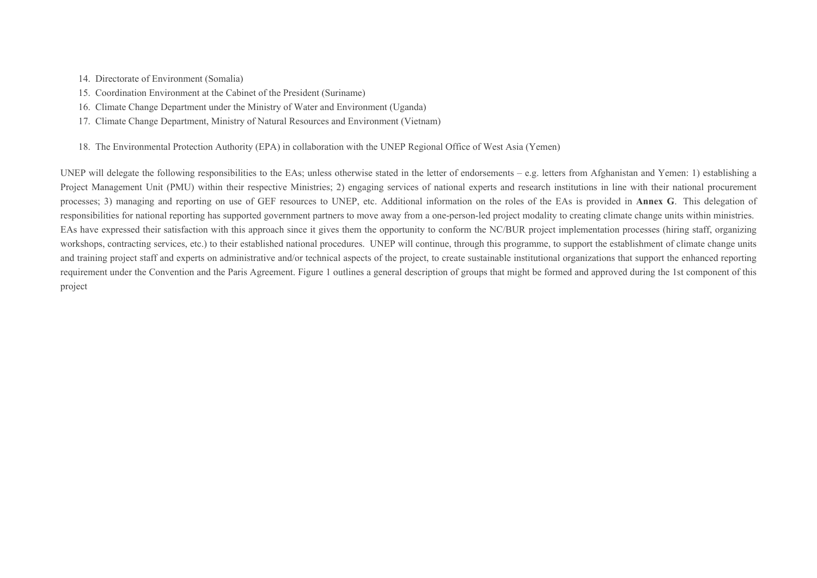14. Directorate of Environment (Somalia)

- 15. Coordination Environment at the Cabinet of the President (Suriname)
- 16. Climate Change Department under the Ministry of Water and Environment (Uganda)
- 17. Climate Change Department, Ministry of Natural Resources and Environment (Vietnam)
- 18. The Environmental Protection Authority (EPA) in collaboration with the UNEP Regional Office of West Asia (Yemen)

UNEP will delegate the following responsibilities to the EAs; unless otherwise stated in the letter of endorsements – e.g. letters from Afghanistan and Yemen: 1) establishing a Project Management Unit (PMU) within their respective Ministries; 2) engaging services of national experts and research institutions in line with their national procurement processes; 3) managing and reporting on use of GEF resources to UNEP, etc. Additional information on the roles of the EAs is provided in **Annex G**. This delegation of responsibilities for national reporting has supported government partners to move away from a one-person-led project modality to creating climate change units within ministries. EAs have expressed their satisfaction with this approach since it gives them the opportunity to conform the NC/BUR project implementation processes (hiring staff, organizing workshops, contracting services, etc.) to their established national procedures. UNEP will continue, through this programme, to support the establishment of climate change units and training project staff and experts on administrative and/or technical aspects of the project, to create sustainable institutional organizations that support the enhanced reporting requirement under the Convention and the Paris Agreement. Figure 1 outlines a general description of groups that might be formed and approved during the 1st component of this project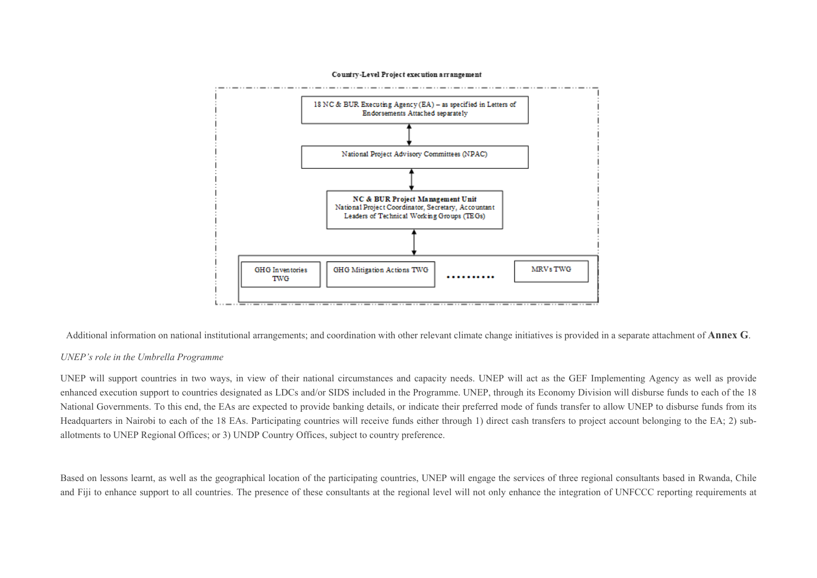

Country-Level Project execution arrangement

Additional information on national institutional arrangements; and coordination with other relevant climate change initiatives is provided in a separate attachment of **Annex G**.

#### *UNEP's role in the Umbrella Programme*

UNEP will support countries in two ways, in view of their national circumstances and capacity needs. UNEP will act as the GEF Implementing Agency as well as provide enhanced execution support to countries designated as LDCs and/or SIDS included in the Programme. UNEP, through its Economy Division will disburse funds to each of the 18 National Governments. To this end, the EAs are expected to provide banking details, or indicate their preferred mode of funds transfer to allow UNEP to disburse funds from its Headquarters in Nairobi to each of the 18 EAs. Participating countries will receive funds either through 1) direct cash transfers to project account belonging to the EA; 2) suballotments to UNEP Regional Offices; or 3) UNDP Country Offices, subject to country preference.

Based on lessons learnt, as well as the geographical location of the participating countries, UNEP will engage the services of three regional consultants based in Rwanda, Chile and Fiji to enhance support to all countries. The presence of these consultants at the regional level will not only enhance the integration of UNFCCC reporting requirements at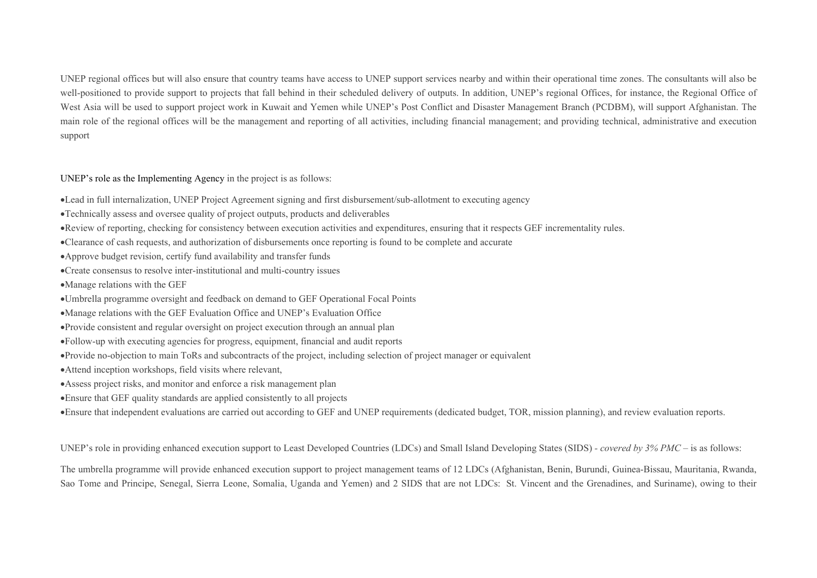UNEP regional offices but will also ensure that country teams have access to UNEP support services nearby and within their operational time zones. The consultants will also be well-positioned to provide support to projects that fall behind in their scheduled delivery of outputs. In addition, UNEP's regional Offices, for instance, the Regional Office of West Asia will be used to support project work in Kuwait and Yemen while UNEP's Post Conflict and Disaster Management Branch (PCDBM), will support Afghanistan. The main role of the regional offices will be the management and reporting of all activities, including financial management; and providing technical, administrative and execution support

UNEP's role as the Implementing Agency in the project is as follows:

- Lead in full internalization, UNEP Project Agreement signing and first disbursement/sub-allotment to executing agency
- Technically assess and oversee quality of project outputs, products and deliverables
- Review of reporting, checking for consistency between execution activities and expenditures, ensuring that it respects GEF incrementality rules.
- Clearance of cash requests, and authorization of disbursements once reporting is found to be complete and accurate
- Approve budget revision, certify fund availability and transfer funds
- Create consensus to resolve inter-institutional and multi-country issues
- Manage relations with the GEF
- Umbrella programme oversight and feedback on demand to GEF Operational Focal Points
- Manage relations with the GEF Evaluation Office and UNEP's Evaluation Office
- Provide consistent and regular oversight on project execution through an annual plan
- Follow-up with executing agencies for progress, equipment, financial and audit reports
- Provide no-objection to main ToRs and subcontracts of the project, including selection of project manager or equivalent
- Attend inception workshops, field visits where relevant,
- Assess project risks, and monitor and enforce a risk management plan
- Ensure that GEF quality standards are applied consistently to all projects
- Ensure that independent evaluations are carried out according to GEF and UNEP requirements (dedicated budget, TOR, mission planning), and review evaluation reports.

UNEP's role in providing enhanced execution support to Least Developed Countries (LDCs) and Small Island Developing States (SIDS) *- covered by 3% PMC –* is as follows:

The umbrella programme will provide enhanced execution support to project management teams of 12 LDCs (Afghanistan, Benin, Burundi, Guinea-Bissau, Mauritania, Rwanda, Sao Tome and Principe, Senegal, Sierra Leone, Somalia, Uganda and Yemen) and 2 SIDS that are not LDCs: St. Vincent and the Grenadines, and Suriname), owing to their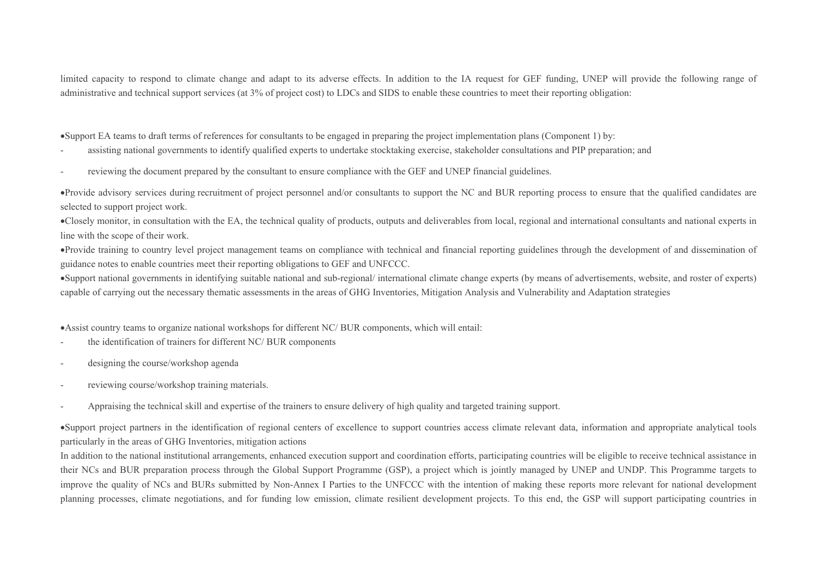limited capacity to respond to climate change and adapt to its adverse effects. In addition to the IA request for GEF funding, UNEP will provide the following range of administrative and technical support services (at 3% of project cost) to LDCs and SIDS to enable these countries to meet their reporting obligation:

Support EA teams to draft terms of references for consultants to be engaged in preparing the project implementation plans (Component 1) by:

- assisting national governments to identify qualified experts to undertake stocktaking exercise, stakeholder consultations and PIP preparation; and
- reviewing the document prepared by the consultant to ensure compliance with the GEF and UNEP financial guidelines.

Provide advisory services during recruitment of project personnel and/or consultants to support the NC and BUR reporting process to ensure that the qualified candidates are selected to support project work.

Closely monitor, in consultation with the EA, the technical quality of products, outputs and deliverables from local, regional and international consultants and national experts in line with the scope of their work.

Provide training to country level project management teams on compliance with technical and financial reporting guidelines through the development of and dissemination of guidance notes to enable countries meet their reporting obligations to GEF and UNFCCC.

Support national governments in identifying suitable national and sub-regional/ international climate change experts (by means of advertisements, website, and roster of experts) capable of carrying out the necessary thematic assessments in the areas of GHG Inventories, Mitigation Analysis and Vulnerability and Adaptation strategies

Assist country teams to organize national workshops for different NC/ BUR components, which will entail:

- the identification of trainers for different NC/ BUR components
- designing the course/workshop agenda
- reviewing course/workshop training materials.
- Appraising the technical skill and expertise of the trainers to ensure delivery of high quality and targeted training support.

Support project partners in the identification of regional centers of excellence to support countries access climate relevant data, information and appropriate analytical tools particularly in the areas of GHG Inventories, mitigation actions

In addition to the national institutional arrangements, enhanced execution support and coordination efforts, participating countries will be eligible to receive technical assistance in their NCs and BUR preparation process through the Global Support Programme (GSP), a project which is jointly managed by UNEP and UNDP. This Programme targets to improve the quality of NCs and BURs submitted by Non-Annex I Parties to the UNFCCC with the intention of making these reports more relevant for national development planning processes, climate negotiations, and for funding low emission, climate resilient development projects. To this end, the GSP will support participating countries in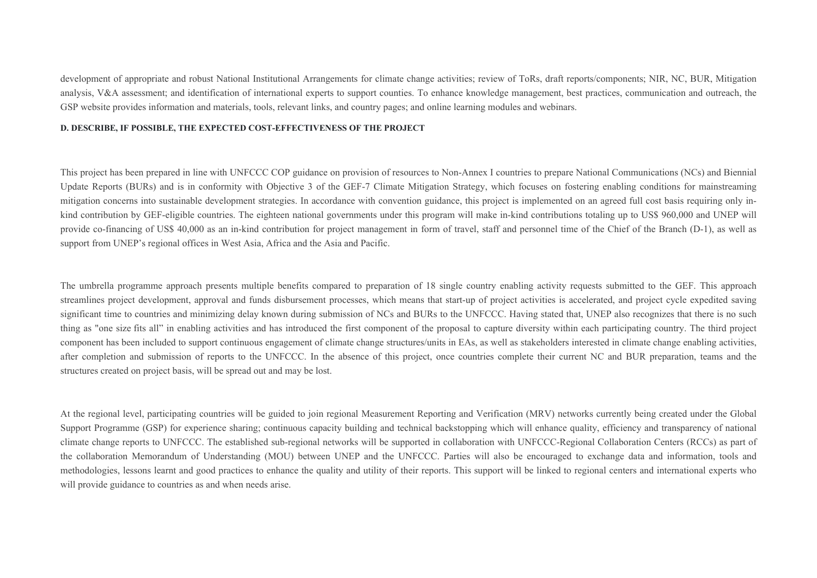development of appropriate and robust National Institutional Arrangements for climate change activities; review of ToRs, draft reports/components; NIR, NC, BUR, Mitigation analysis, V&A assessment; and identification of international experts to support counties. To enhance knowledge management, best practices, communication and outreach, the GSP website provides information and materials, tools, relevant links, and country pages; and online learning modules and webinars.

#### **D. DESCRIBE, IF POSSIBLE, THE EXPECTED COST-EFFECTIVENESS OF THE PROJECT**

This project has been prepared in line with UNFCCC COP guidance on provision of resources to Non-Annex I countries to prepare National Communications (NCs) and Biennial Update Reports (BURs) and is in conformity with Objective 3 of the GEF-7 Climate Mitigation Strategy, which focuses on fostering enabling conditions for mainstreaming mitigation concerns into sustainable development strategies. In accordance with convention guidance, this project is implemented on an agreed full cost basis requiring only inkind contribution by GEF-eligible countries. The eighteen national governments under this program will make in-kind contributions totaling up to US\$ 960,000 and UNEP will provide co-financing of US\$ 40,000 as an in-kind contribution for project management in form of travel, staff and personnel time of the Chief of the Branch (D-1), as well as support from UNEP's regional offices in West Asia, Africa and the Asia and Pacific.

The umbrella programme approach presents multiple benefits compared to preparation of 18 single country enabling activity requests submitted to the GEF. This approach streamlines project development, approval and funds disbursement processes, which means that start-up of project activities is accelerated, and project cycle expedited saving significant time to countries and minimizing delay known during submission of NCs and BURs to the UNFCCC. Having stated that, UNEP also recognizes that there is no such thing as "one size fits all" in enabling activities and has introduced the first component of the proposal to capture diversity within each participating country. The third project component has been included to support continuous engagement of climate change structures/units in EAs, as well as stakeholders interested in climate change enabling activities, after completion and submission of reports to the UNFCCC. In the absence of this project, once countries complete their current NC and BUR preparation, teams and the structures created on project basis, will be spread out and may be lost.

At the regional level, participating countries will be guided to join regional Measurement Reporting and Verification (MRV) networks currently being created under the Global Support Programme (GSP) for experience sharing; continuous capacity building and technical backstopping which will enhance quality, efficiency and transparency of national climate change reports to UNFCCC. The established sub-regional networks will be supported in collaboration with UNFCCC-Regional Collaboration Centers (RCCs) as part of the collaboration Memorandum of Understanding (MOU) between UNEP and the UNFCCC. Parties will also be encouraged to exchange data and information, tools and methodologies, lessons learnt and good practices to enhance the quality and utility of their reports. This support will be linked to regional centers and international experts who will provide guidance to countries as and when needs arise.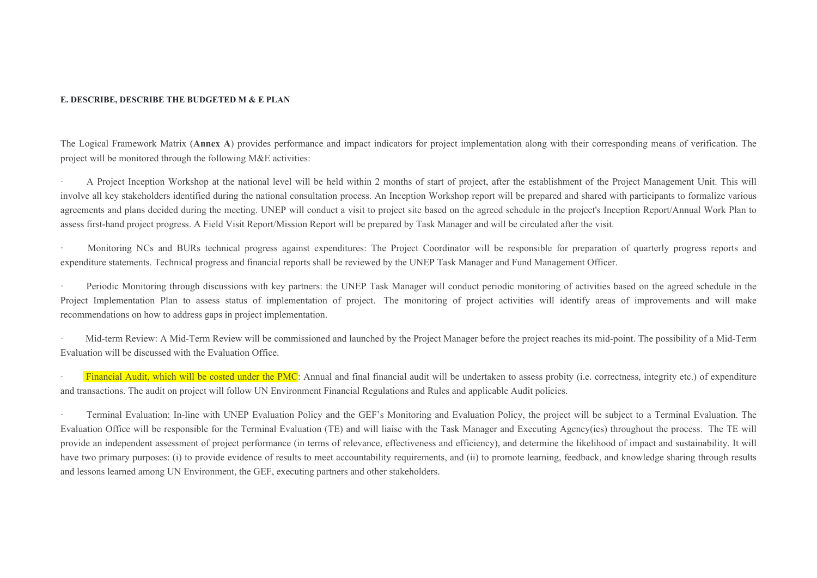#### **E. DESCRIBE, DESCRIBE THE BUDGETED M & E PLAN**

The Logical Framework Matrix (**Annex A**) provides performance and impact indicators for project implementation along with their corresponding means of verification. The project will be monitored through the following M&E activities:

· A Project Inception Workshop at the national level will be held within 2 months of start of project, after the establishment of the Project Management Unit. This will involve all key stakeholders identified during the national consultation process. An Inception Workshop report will be prepared and shared with participants to formalize various agreements and plans decided during the meeting. UNEP will conduct a visit to project site based on the agreed schedule in the project's Inception Report/Annual Work Plan to assess first-hand project progress. A Field Visit Report/Mission Report will be prepared by Task Manager and will be circulated after the visit.

· Monitoring NCs and BURs technical progress against expenditures: The Project Coordinator will be responsible for preparation of quarterly progress reports and expenditure statements. Technical progress and financial reports shall be reviewed by the UNEP Task Manager and Fund Management Officer.

Periodic Monitoring through discussions with key partners: the UNEP Task Manager will conduct periodic monitoring of activities based on the agreed schedule in the Project Implementation Plan to assess status of implementation of project. The monitoring of project activities will identify areas of improvements and will make recommendations on how to address gaps in project implementation.

· Mid-term Review: A Mid-Term Review will be commissioned and launched by the Project Manager before the project reaches its mid-point. The possibility of a Mid-Term Evaluation will be discussed with the Evaluation Office.

Financial Audit, which will be costed under the PMC: Annual and final financial audit will be undertaken to assess probity (i.e. correctness, integrity etc.) of expenditure and transactions. The audit on project will follow UN Environment Financial Regulations and Rules and applicable Audit policies.

· Terminal Evaluation: In-line with UNEP Evaluation Policy and the GEF's Monitoring and Evaluation Policy, the project will be subject to a Terminal Evaluation. The Evaluation Office will be responsible for the Terminal Evaluation (TE) and will liaise with the Task Manager and Executing Agency(ies) throughout the process. The TE will provide an independent assessment of project performance (in terms of relevance, effectiveness and efficiency), and determine the likelihood of impact and sustainability. It will have two primary purposes: (i) to provide evidence of results to meet accountability requirements, and (ii) to promote learning, feedback, and knowledge sharing through results and lessons learned among UN Environment, the GEF, executing partners and other stakeholders.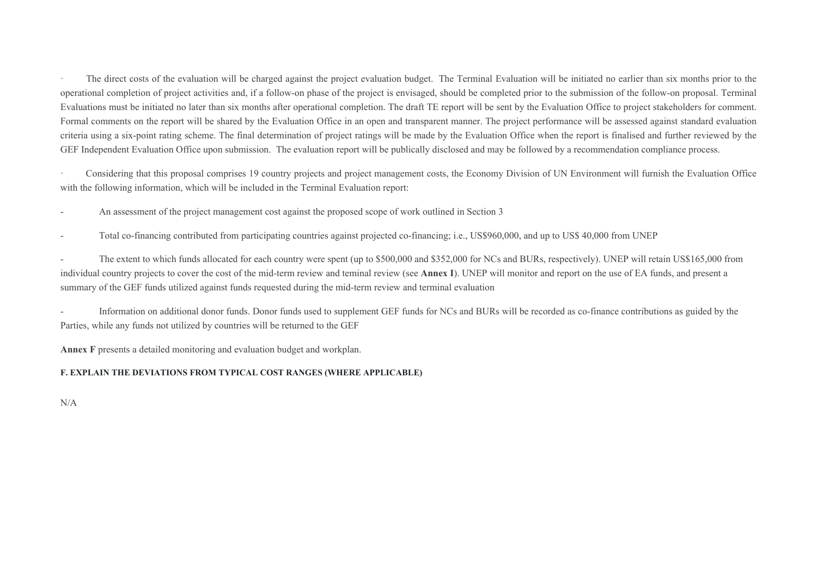The direct costs of the evaluation will be charged against the project evaluation budget. The Terminal Evaluation will be initiated no earlier than six months prior to the operational completion of project activities and, if a follow-on phase of the project is envisaged, should be completed prior to the submission of the follow-on proposal. Terminal Evaluations must be initiated no later than six months after operational completion. The draft TE report will be sent by the Evaluation Office to project stakeholders for comment. Formal comments on the report will be shared by the Evaluation Office in an open and transparent manner. The project performance will be assessed against standard evaluation criteria using a six-point rating scheme. The final determination of project ratings will be made by the Evaluation Office when the report is finalised and further reviewed by the GEF Independent Evaluation Office upon submission. The evaluation report will be publically disclosed and may be followed by a recommendation compliance process.

· Considering that this proposal comprises 19 country projects and project management costs, the Economy Division of UN Environment will furnish the Evaluation Office with the following information, which will be included in the Terminal Evaluation report:

An assessment of the project management cost against the proposed scope of work outlined in Section 3

- Total co-financing contributed from participating countries against projected co-financing; i.e., US\$960,000, and up to US\$ 40,000 from UNEP

The extent to which funds allocated for each country were spent (up to \$500,000 and \$352,000 for NCs and BURs, respectively). UNEP will retain US\$165,000 from individual country projects to cover the cost of the mid-term review and teminal review (see **Annex I**). UNEP will monitor and report on the use of EA funds, and present a summary of the GEF funds utilized against funds requested during the mid-term review and terminal evaluation

Information on additional donor funds. Donor funds used to supplement GEF funds for NCs and BURs will be recorded as co-finance contributions as guided by the Parties, while any funds not utilized by countries will be returned to the GEF

**Annex F** presents a detailed monitoring and evaluation budget and workplan.

#### **F. EXPLAIN THE DEVIATIONS FROM TYPICAL COST RANGES (WHERE APPLICABLE)**

N/A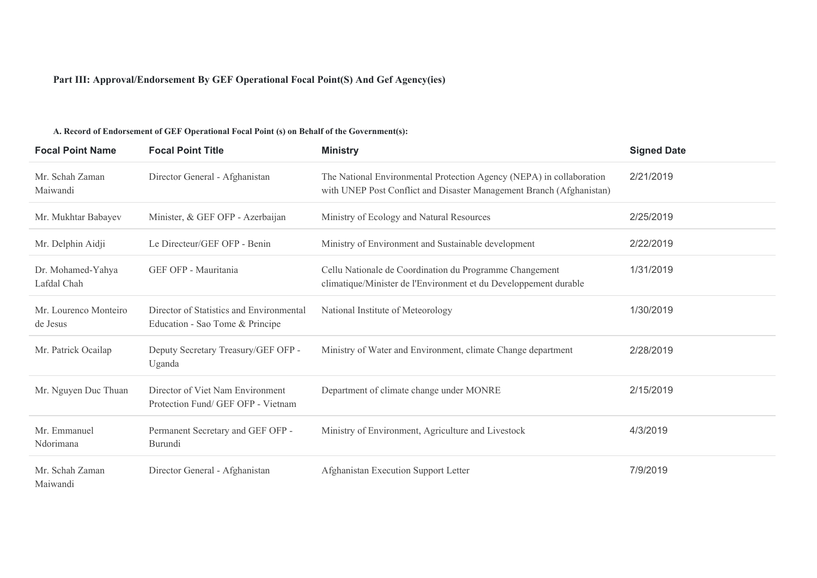#### **Part III: Approval/Endorsement By GEF Operational Focal Point(S) And Gef Agency(ies)**

#### **Focal Point Name Focal Point Title Ministry Signed Date** Mr. Schah Zaman Maiwandi Director General - Afghanistan The National Environmental Protection Agency (NEPA) in collaboration with UNEP Post Conflict and Disaster Management Branch (Afghanistan) 2/21/2019 Mr. Mukhtar Babayev Minister, & GEF OFP - Azerbaijan Ministry of Ecology and Natural Resources 2/25/2019 Mr. Delphin Aidji Le Directeur/GEF OFP - Benin Ministry of Environment and Sustainable development 2/22/2019 Dr. Mohamed-Yahya Lafdal Chah GEF OFP - Mauritania Cellu Nationale de Coordination du Programme Changement climatique/Minister de l'Environment et du Developpement durable 1/31/2019 Mr. Lourenco Monteiro de Jesus Director of Statistics and Environmental Education - Sao Tome & Principe National Institute of Meteorology 1/30/2019 Mr. Patrick Ocailap Deputy Secretary Treasury/GEF OFP -Uganda Ministry of Water and Environment, climate Change department 2/28/2019 Mr. Nguyen Duc Thuan Director of Viet Nam Environment Protection Fund/ GEF OFP - Vietnam Department of climate change under MONRE 2/15/2019 Mr. Emmanuel Ndorimana Permanent Secretary and GEF OFP - Burundi Ministry of Environment, Agriculture and Livestock 4/3/2019 Mr. Schah Zaman Maiwandi Director General - Afghanistan Afghanistan Execution Support Letter 7/9/2019

#### **A. Record of Endorsement of GEF Operational Focal Point (s) on Behalf of the Government(s):**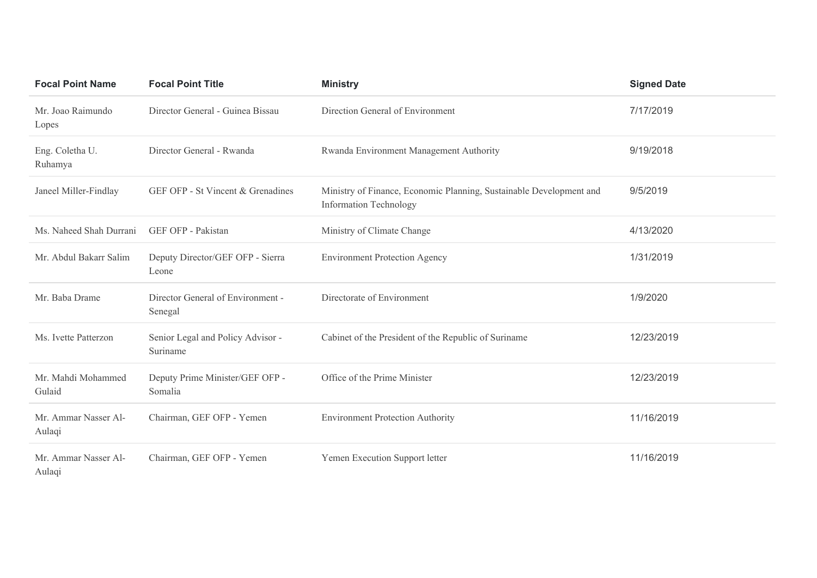| <b>Focal Point Name</b>        | <b>Focal Point Title</b>                      | <b>Ministry</b>                                                                                      | <b>Signed Date</b> |
|--------------------------------|-----------------------------------------------|------------------------------------------------------------------------------------------------------|--------------------|
| Mr. Joao Raimundo<br>Lopes     | Director General - Guinea Bissau              | Direction General of Environment                                                                     | 7/17/2019          |
| Eng. Coletha U.<br>Ruhamya     | Director General - Rwanda                     | Rwanda Environment Management Authority                                                              | 9/19/2018          |
| Janeel Miller-Findlay          | GEF OFP - St Vincent & Grenadines             | Ministry of Finance, Economic Planning, Sustainable Development and<br><b>Information Technology</b> | 9/5/2019           |
| Ms. Naheed Shah Durrani        | GEF OFP - Pakistan                            | Ministry of Climate Change                                                                           | 4/13/2020          |
| Mr. Abdul Bakarr Salim         | Deputy Director/GEF OFP - Sierra<br>Leone     | <b>Environment Protection Agency</b>                                                                 | 1/31/2019          |
| Mr. Baba Drame                 | Director General of Environment -<br>Senegal  | Directorate of Environment                                                                           | 1/9/2020           |
| Ms. Ivette Patterzon           | Senior Legal and Policy Advisor -<br>Suriname | Cabinet of the President of the Republic of Suriname                                                 | 12/23/2019         |
| Mr. Mahdi Mohammed<br>Gulaid   | Deputy Prime Minister/GEF OFP -<br>Somalia    | Office of the Prime Minister                                                                         | 12/23/2019         |
| Mr. Ammar Nasser Al-<br>Aulaqi | Chairman, GEF OFP - Yemen                     | <b>Environment Protection Authority</b>                                                              | 11/16/2019         |
| Mr. Ammar Nasser Al-<br>Aulaqi | Chairman, GEF OFP - Yemen                     | Yemen Execution Support letter                                                                       | 11/16/2019         |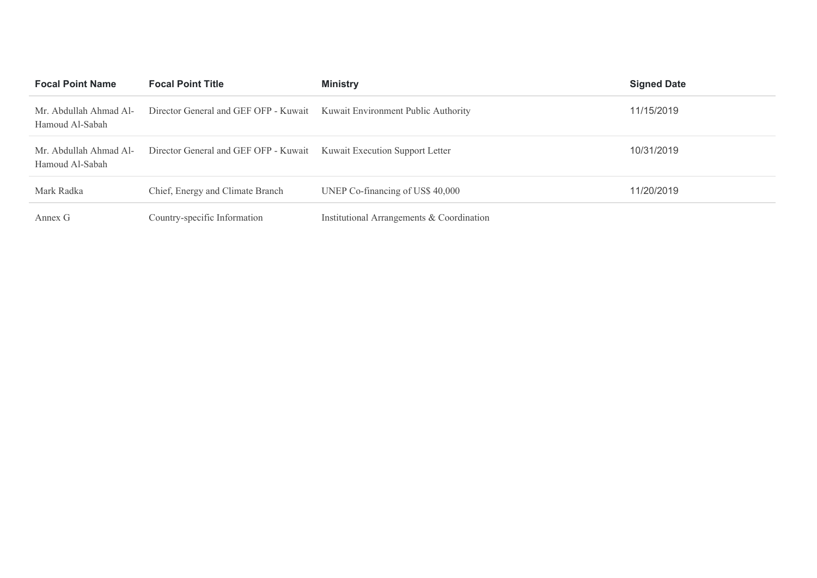| <b>Focal Point Name</b>                   | <b>Focal Point Title</b>                                                  | <b>Ministry</b>                           | <b>Signed Date</b> |
|-------------------------------------------|---------------------------------------------------------------------------|-------------------------------------------|--------------------|
| Mr. Abdullah Ahmad Al-<br>Hamoud Al-Sabah | Director General and GEF OFP - Kuwait Kuwait Environment Public Authority |                                           | 11/15/2019         |
| Mr. Abdullah Ahmad Al-<br>Hamoud Al-Sabah | Director General and GEF OFP - Kuwait Kuwait Execution Support Letter     |                                           | 10/31/2019         |
| Mark Radka                                | Chief, Energy and Climate Branch                                          | UNEP Co-financing of US\$ 40,000          | 11/20/2019         |
| Annex G                                   | Country-specific Information                                              | Institutional Arrangements & Coordination |                    |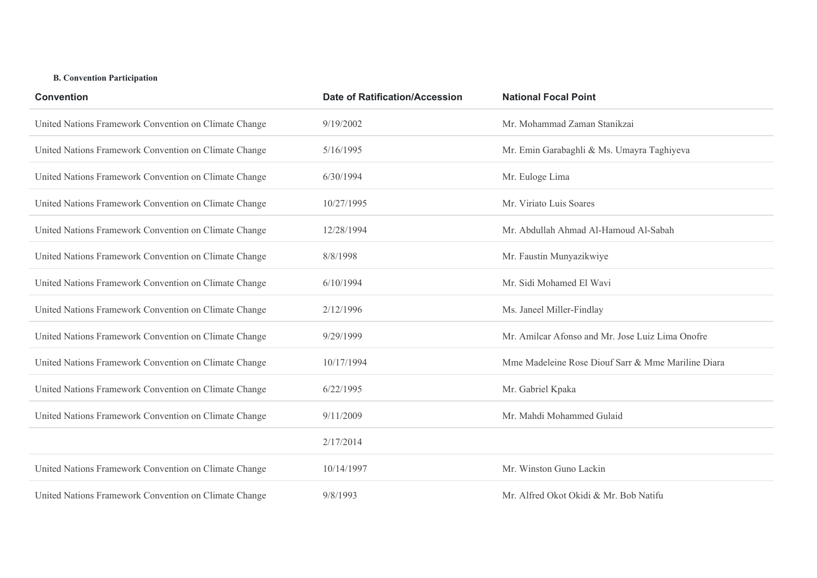## **B. Convention Participation**

| <b>Convention</b>                                     | <b>Date of Ratification/Accession</b> | <b>National Focal Point</b>                        |
|-------------------------------------------------------|---------------------------------------|----------------------------------------------------|
| United Nations Framework Convention on Climate Change | 9/19/2002                             | Mr. Mohammad Zaman Stanikzai                       |
| United Nations Framework Convention on Climate Change | 5/16/1995                             | Mr. Emin Garabaghli & Ms. Umayra Taghiyeva         |
| United Nations Framework Convention on Climate Change | 6/30/1994                             | Mr. Euloge Lima                                    |
| United Nations Framework Convention on Climate Change | 10/27/1995                            | Mr. Viriato Luis Soares                            |
| United Nations Framework Convention on Climate Change | 12/28/1994                            | Mr. Abdullah Ahmad Al-Hamoud Al-Sabah              |
| United Nations Framework Convention on Climate Change | 8/8/1998                              | Mr. Faustin Munyazikwiye                           |
| United Nations Framework Convention on Climate Change | 6/10/1994                             | Mr. Sidi Mohamed El Wavi                           |
| United Nations Framework Convention on Climate Change | 2/12/1996                             | Ms. Janeel Miller-Findlay                          |
| United Nations Framework Convention on Climate Change | 9/29/1999                             | Mr. Amilcar Afonso and Mr. Jose Luiz Lima Onofre   |
| United Nations Framework Convention on Climate Change | 10/17/1994                            | Mme Madeleine Rose Diouf Sarr & Mme Mariline Diara |
| United Nations Framework Convention on Climate Change | 6/22/1995                             | Mr. Gabriel Kpaka                                  |
| United Nations Framework Convention on Climate Change | 9/11/2009                             | Mr. Mahdi Mohammed Gulaid                          |
|                                                       | 2/17/2014                             |                                                    |
| United Nations Framework Convention on Climate Change | 10/14/1997                            | Mr. Winston Guno Lackin                            |
| United Nations Framework Convention on Climate Change | 9/8/1993                              | Mr. Alfred Okot Okidi & Mr. Bob Natifu             |